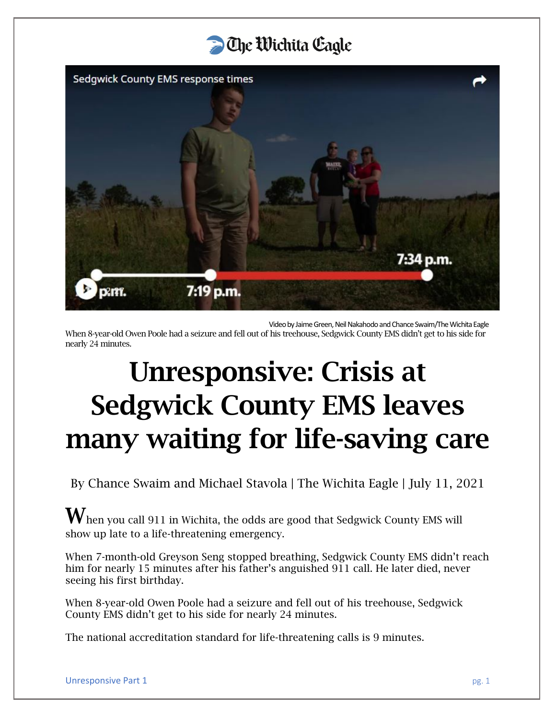

Video by Jaime Green, Neil Nakahodo and Chance Swaim/The Wichita Eagle

When 8-year-old Owen Poole had a seizure and fell out of his treehouse, Sedgwick County EMS didn't get to his side for nearly 24 minutes.

# Unresponsive: Crisis at Sedgwick County EMS leaves many waiting for life-saving care

By Chance Swaim and Michael Stavola | The Wichita Eagle | July 11, 2021

 $\mathbf W$ hen you call 911 in Wichita, the odds are good that Sedgwick County EMS will show up late to a life-threatening emergency.

When 7-month-old Greyson Seng stopped breathing, Sedgwick County EMS didn't reach him for nearly 15 minutes after his father's anguished 911 call. He later died, never seeing his first birthday.

When 8-year-old Owen Poole had a seizure and fell out of his treehouse, Sedgwick County EMS didn't get to his side for nearly 24 minutes.

The national accreditation standard for life-threatening calls is 9 minutes.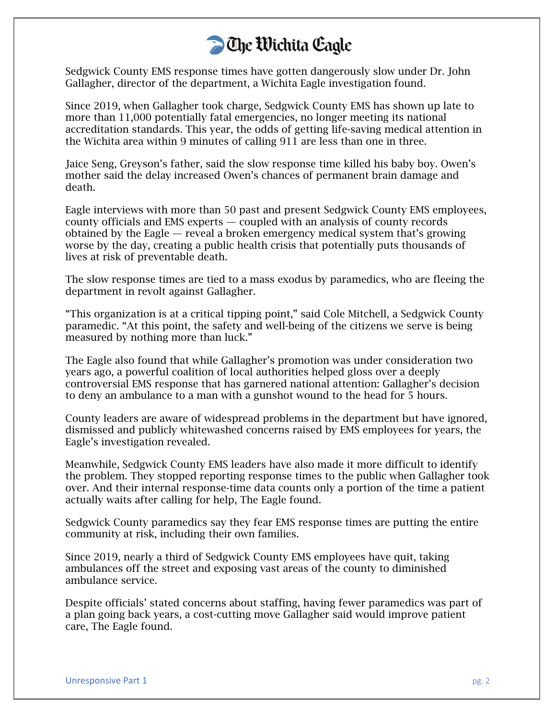Sedgwick County EMS response times have gotten dangerously slow under Dr. John Gallagher, director of the department, a Wichita Eagle investigation found.

Since 2019, when Gallagher took charge, Sedgwick County EMS has shown up late to more than 11,000 potentially fatal emergencies, no longer meeting its national accreditation standards. This year, the odds of getting life-saving medical attention in the Wichita area within 9 minutes of calling 911 are less than one in three.

Jaice Seng, Greyson's father, said the slow response time killed his baby boy. Owen's mother said the delay increased Owen's chances of permanent brain damage and death.

Eagle interviews with more than 50 past and present Sedgwick County EMS employees, county officials and EMS experts — coupled with an analysis of county records obtained by the Eagle — reveal a broken emergency medical system that's growing worse by the day, creating a public health crisis that potentially puts thousands of lives at risk of preventable death.

The slow response times are tied to a mass exodus by paramedics, who are fleeing the department in revolt against Gallagher.

"This organization is at a critical tipping point," said Cole Mitchell, a Sedgwick County paramedic. "At this point, the safety and well-being of the citizens we serve is being measured by nothing more than luck."

The Eagle also found that while Gallagher's promotion was under consideration two years ago, a powerful coalition of local authorities helped gloss over a deeply controversial EMS response that has garnered national attention: Gallagher's decision to deny an ambulance to a man with a gunshot wound to the head for 5 hours.

County leaders are aware of widespread problems in the department but have ignored, dismissed and publicly whitewashed concerns raised by EMS employees for years, the Eagle's investigation revealed.

Meanwhile, Sedgwick County EMS leaders have also made it more difficult to identify the problem. They stopped reporting response times to the public when Gallagher took over. And their internal response-time data counts only a portion of the time a patient actually waits after calling for help, The Eagle found.

Sedgwick County paramedics say they fear EMS response times are putting the entire community at risk, including their own families.

Since 2019, nearly a third of Sedgwick County EMS employees have quit, taking ambulances off the street and exposing vast areas of the county to diminished ambulance service.

Despite officials' stated concerns about staffing, having fewer paramedics was part of a plan going back years, a cost-cutting move Gallagher said would improve patient care, The Eagle found.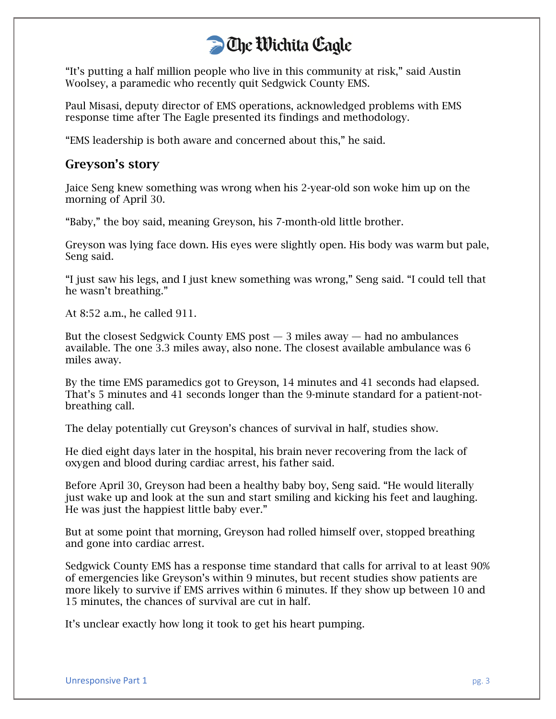"It's putting a half million people who live in this community at risk," said Austin Woolsey, a paramedic who recently quit Sedgwick County EMS.

Paul Misasi, deputy director of EMS operations, acknowledged problems with EMS response time after The Eagle presented its findings and methodology.

"EMS leadership is both aware and concerned about this," he said.

#### Greyson's story

Jaice Seng knew something was wrong when his 2-year-old son woke him up on the morning of April 30.

"Baby," the boy said, meaning Greyson, his 7-month-old little brother.

Greyson was lying face down. His eyes were slightly open. His body was warm but pale, Seng said.

"I just saw his legs, and I just knew something was wrong," Seng said. "I could tell that he wasn't breathing."

At 8:52 a.m., he called 911.

But the closest Sedgwick County EMS post  $-3$  miles away  $-$  had no ambulances available. The one 3.3 miles away, also none. The closest available ambulance was 6 miles away.

By the time EMS paramedics got to Greyson, 14 minutes and 41 seconds had elapsed. That's 5 minutes and 41 seconds longer than the 9-minute standard for a patient-notbreathing call.

The delay potentially cut Greyson's chances of survival in half, studies show.

He died eight days later in the hospital, his brain never recovering from the lack of oxygen and blood during cardiac arrest, his father said.

Before April 30, Greyson had been a healthy baby boy, Seng said. "He would literally just wake up and look at the sun and start smiling and kicking his feet and laughing. He was just the happiest little baby ever."

But at some point that morning, Greyson had rolled himself over, stopped breathing and gone into cardiac arrest.

Sedgwick County EMS has a response time standard that calls for arrival to at least 90% of emergencies like Greyson's within 9 minutes, but recent studies show patients are more likely to survive if EMS arrives within 6 minutes. If they show up between 10 and 15 minutes, the chances of survival are cut in half.

It's unclear exactly how long it took to get his heart pumping.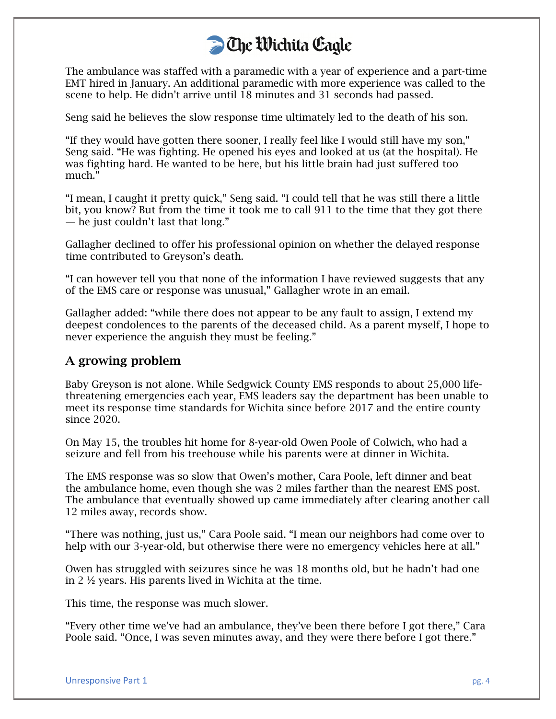The ambulance was staffed with a paramedic with a year of experience and a part-time EMT hired in January. An additional paramedic with more experience was called to the scene to help. He didn't arrive until 18 minutes and 31 seconds had passed.

Seng said he believes the slow response time ultimately led to the death of his son.

"If they would have gotten there sooner, I really feel like I would still have my son," Seng said. "He was fighting. He opened his eyes and looked at us (at the hospital). He was fighting hard. He wanted to be here, but his little brain had just suffered too much."

"I mean, I caught it pretty quick," Seng said. "I could tell that he was still there a little bit, you know? But from the time it took me to call 911 to the time that they got there — he just couldn't last that long."

Gallagher declined to offer his professional opinion on whether the delayed response time contributed to Greyson's death.

"I can however tell you that none of the information I have reviewed suggests that any of the EMS care or response was unusual," Gallagher wrote in an email.

Gallagher added: "while there does not appear to be any fault to assign, I extend my deepest condolences to the parents of the deceased child. As a parent myself, I hope to never experience the anguish they must be feeling."

#### A growing problem

Baby Greyson is not alone. While Sedgwick County EMS responds to about 25,000 lifethreatening emergencies each year, EMS leaders say the department has been unable to meet its response time standards for Wichita since before 2017 and the entire county since 2020.

On May 15, the troubles hit home for 8-year-old Owen Poole of Colwich, who had a seizure and fell from his treehouse while his parents were at dinner in Wichita.

The EMS response was so slow that Owen's mother, Cara Poole, left dinner and beat the ambulance home, even though she was 2 miles farther than the nearest EMS post. The ambulance that eventually showed up came immediately after clearing another call 12 miles away, records show.

"There was nothing, just us," Cara Poole said. "I mean our neighbors had come over to help with our 3-year-old, but otherwise there were no emergency vehicles here at all."

Owen has struggled with seizures since he was 18 months old, but he hadn't had one in 2 ½ years. His parents lived in Wichita at the time.

This time, the response was much slower.

"Every other time we've had an ambulance, they've been there before I got there," Cara Poole said. "Once, I was seven minutes away, and they were there before I got there."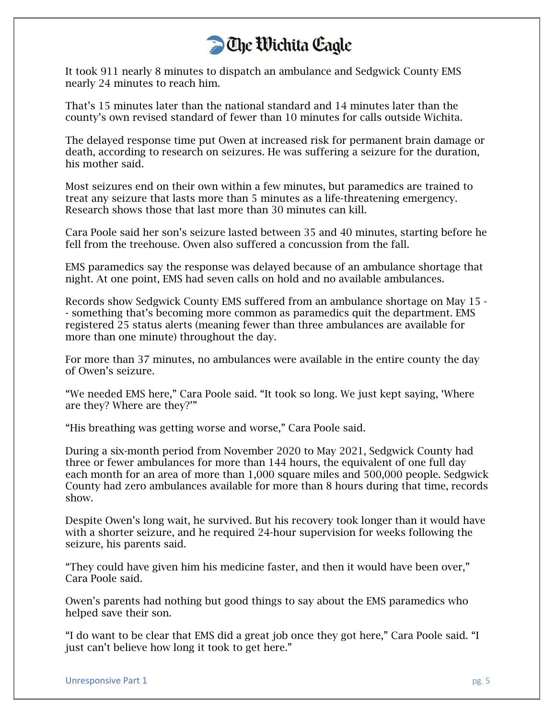It took 911 nearly 8 minutes to dispatch an ambulance and Sedgwick County EMS nearly 24 minutes to reach him.

That's 15 minutes later than the national standard and 14 minutes later than the county's own revised standard of fewer than 10 minutes for calls outside Wichita.

The delayed response time put Owen at increased risk for permanent brain damage or death, according to research on seizures. He was suffering a seizure for the duration, his mother said.

Most seizures end on their own within a few minutes, but paramedics are trained to treat any seizure that lasts more than 5 minutes as a life-threatening emergency. Research shows those that last more than 30 minutes can kill.

Cara Poole said her son's seizure lasted between 35 and 40 minutes, starting before he fell from the treehouse. Owen also suffered a concussion from the fall.

EMS paramedics say the response was delayed because of an ambulance shortage that night. At one point, EMS had seven calls on hold and no available ambulances.

Records show Sedgwick County EMS suffered from an ambulance shortage on May 15 - - something that's becoming more common as paramedics quit the department. EMS registered 25 status alerts (meaning fewer than three ambulances are available for more than one minute) throughout the day.

For more than 37 minutes, no ambulances were available in the entire county the day of Owen's seizure.

"We needed EMS here," Cara Poole said. "It took so long. We just kept saying, 'Where are they? Where are they?'"

"His breathing was getting worse and worse," Cara Poole said.

During a six-month period from November 2020 to May 2021, Sedgwick County had three or fewer ambulances for more than 144 hours, the equivalent of one full day each month for an area of more than 1,000 square miles and 500,000 people. Sedgwick County had zero ambulances available for more than 8 hours during that time, records show.

Despite Owen's long wait, he survived. But his recovery took longer than it would have with a shorter seizure, and he required 24-hour supervision for weeks following the seizure, his parents said.

"They could have given him his medicine faster, and then it would have been over," Cara Poole said.

Owen's parents had nothing but good things to say about the EMS paramedics who helped save their son.

"I do want to be clear that EMS did a great job once they got here," Cara Poole said. "I just can't believe how long it took to get here."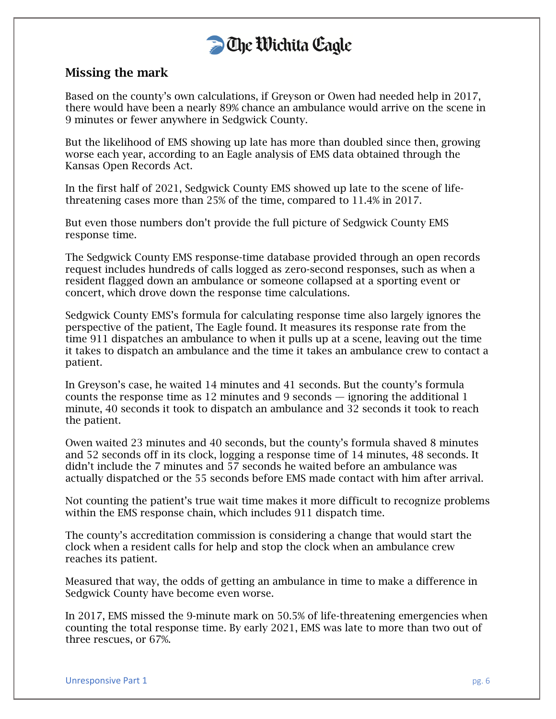

#### Missing the mark

Based on the county's own calculations, if Greyson or Owen had needed help in 2017, there would have been a nearly 89% chance an ambulance would arrive on the scene in 9 minutes or fewer anywhere in Sedgwick County.

But the likelihood of EMS showing up late has more than doubled since then, growing worse each year, according to an Eagle analysis of EMS data obtained through the Kansas Open Records Act.

In the first half of 2021, Sedgwick County EMS showed up late to the scene of lifethreatening cases more than 25% of the time, compared to 11.4% in 2017.

But even those numbers don't provide the full picture of Sedgwick County EMS response time.

The Sedgwick County EMS response-time database provided through an open records request includes hundreds of calls logged as zero-second responses, such as when a resident flagged down an ambulance or someone collapsed at a sporting event or concert, which drove down the response time calculations.

Sedgwick County EMS's formula for calculating response time also largely ignores the perspective of the patient, The Eagle found. It measures its response rate from the time 911 dispatches an ambulance to when it pulls up at a scene, leaving out the time it takes to dispatch an ambulance and the time it takes an ambulance crew to contact a patient.

In Greyson's case, he waited 14 minutes and 41 seconds. But the county's formula counts the response time as 12 minutes and 9 seconds — ignoring the additional 1 minute, 40 seconds it took to dispatch an ambulance and 32 seconds it took to reach the patient.

Owen waited 23 minutes and 40 seconds, but the county's formula shaved 8 minutes and 52 seconds off in its clock, logging a response time of 14 minutes, 48 seconds. It didn't include the 7 minutes and 57 seconds he waited before an ambulance was actually dispatched or the 55 seconds before EMS made contact with him after arrival.

Not counting the patient's true wait time makes it more difficult to recognize problems within the EMS response chain, which includes 911 dispatch time.

The county's accreditation commission is considering a change that would start the clock when a resident calls for help and stop the clock when an ambulance crew reaches its patient.

Measured that way, the odds of getting an ambulance in time to make a difference in Sedgwick County have become even worse.

In 2017, EMS missed the 9-minute mark on 50.5% of life-threatening emergencies when counting the total response time. By early 2021, EMS was late to more than two out of three rescues, or 67%.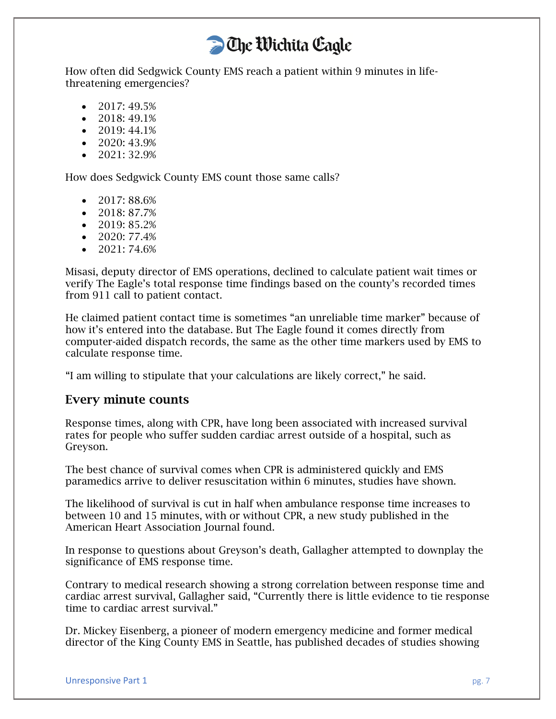How often did Sedgwick County EMS reach a patient within 9 minutes in lifethreatening emergencies?

- 2017: 49.5%
- 2018:  $49.1\%$
- 2019: 44.1%
- 2020: 43.9%
- 2021: 32.9%

How does Sedgwick County EMS count those same calls?

- 2017: 88.6%
- 2018: 87.7%
- $\bullet$  2019: 85.2%
- 2020: 77.4%
- $\bullet$  2021: 74.6%

Misasi, deputy director of EMS operations, declined to calculate patient wait times or verify The Eagle's total response time findings based on the county's recorded times from 911 call to patient contact.

He claimed patient contact time is sometimes "an unreliable time marker" because of how it's entered into the database. But The Eagle found it comes directly from computer-aided dispatch records, the same as the other time markers used by EMS to calculate response time.

"I am willing to stipulate that your calculations are likely correct," he said.

#### Every minute counts

Response times, along with CPR, have long been associated with increased survival rates for people who suffer sudden cardiac arrest outside of a hospital, such as Greyson.

The best chance of survival comes when CPR is administered quickly and EMS paramedics arrive to deliver resuscitation within 6 minutes, studies have shown.

The likelihood of survival is cut in half when ambulance response time increases to between 10 and 15 minutes, with or without CPR, a new study published in the American Heart Association Journal found.

In response to questions about Greyson's death, Gallagher attempted to downplay the significance of EMS response time.

Contrary to medical research showing a strong correlation between response time and cardiac arrest survival, Gallagher said, "Currently there is little evidence to tie response time to cardiac arrest survival."

Dr. Mickey Eisenberg, a pioneer of modern emergency medicine and former medical director of the King County EMS in Seattle, has published decades of studies showing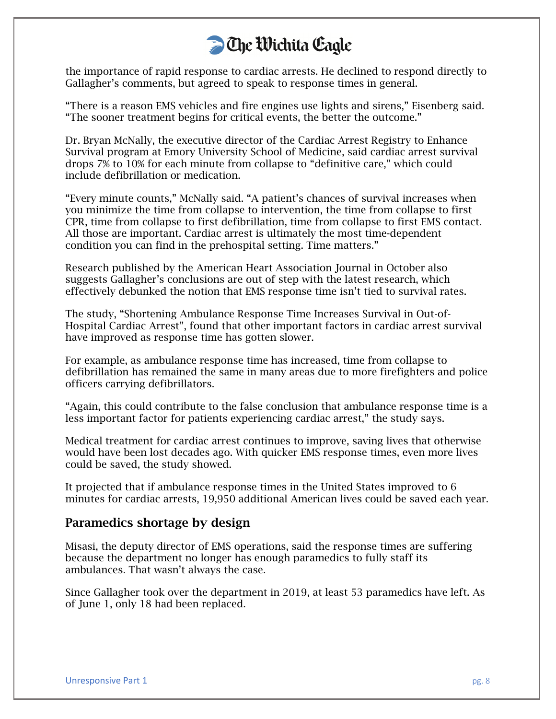the importance of rapid response to cardiac arrests. He declined to respond directly to Gallagher's comments, but agreed to speak to response times in general.

"There is a reason EMS vehicles and fire engines use lights and sirens," Eisenberg said. "The sooner treatment begins for critical events, the better the outcome."

Dr. Bryan McNally, the executive director of the Cardiac Arrest Registry to Enhance Survival program at Emory University School of Medicine, said cardiac arrest survival drops 7% to 10% for each minute from collapse to "definitive care," which could include defibrillation or medication.

"Every minute counts," McNally said. "A patient's chances of survival increases when you minimize the time from collapse to intervention, the time from collapse to first CPR, time from collapse to first defibrillation, time from collapse to first EMS contact. All those are important. Cardiac arrest is ultimately the most time-dependent condition you can find in the prehospital setting. Time matters."

Research published by the American Heart Association Journal in October also suggests Gallagher's conclusions are out of step with the latest research, which effectively debunked the notion that EMS response time isn't tied to survival rates.

The study, "Shortening Ambulance Response Time Increases Survival in Out-of-Hospital Cardiac Arrest", found that other important factors in cardiac arrest survival have improved as response time has gotten slower.

For example, as ambulance response time has increased, time from collapse to defibrillation has remained the same in many areas due to more firefighters and police officers carrying defibrillators.

"Again, this could contribute to the false conclusion that ambulance response time is a less important factor for patients experiencing cardiac arrest," the study says.

Medical treatment for cardiac arrest continues to improve, saving lives that otherwise would have been lost decades ago. With quicker EMS response times, even more lives could be saved, the study showed.

It projected that if ambulance response times in the United States improved to 6 minutes for cardiac arrests, 19,950 additional American lives could be saved each year.

#### Paramedics shortage by design

Misasi, the deputy director of EMS operations, said the response times are suffering because the department no longer has enough paramedics to fully staff its ambulances. That wasn't always the case.

Since Gallagher took over the department in 2019, at least 53 paramedics have left. As of June 1, only 18 had been replaced.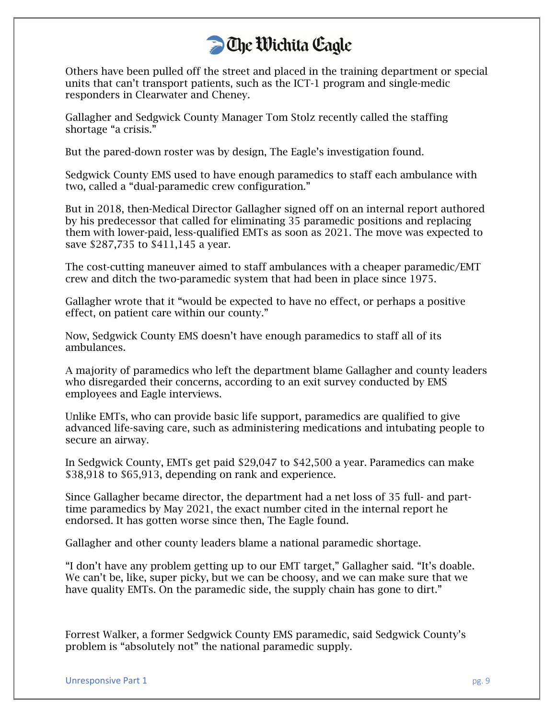Others have been pulled off the street and placed in the training department or special units that can't transport patients, such as the ICT-1 program and single-medic responders in Clearwater and Cheney.

Gallagher and Sedgwick County Manager Tom Stolz recently called the staffing shortage "a crisis."

But the pared-down roster was by design, The Eagle's investigation found.

Sedgwick County EMS used to have enough paramedics to staff each ambulance with two, called a "dual-paramedic crew configuration."

But in 2018, then-Medical Director Gallagher signed off on an internal report authored by his predecessor that called for eliminating 35 paramedic positions and replacing them with lower-paid, less-qualified EMTs as soon as 2021. The move was expected to save \$287,735 to \$411,145 a year.

The cost-cutting maneuver aimed to staff ambulances with a cheaper paramedic/EMT crew and ditch the two-paramedic system that had been in place since 1975.

Gallagher wrote that it "would be expected to have no effect, or perhaps a positive effect, on patient care within our county."

Now, Sedgwick County EMS doesn't have enough paramedics to staff all of its ambulances.

A majority of paramedics who left the department blame Gallagher and county leaders who disregarded their concerns, according to an exit survey conducted by EMS employees and Eagle interviews.

Unlike EMTs, who can provide basic life support, paramedics are qualified to give advanced life-saving care, such as administering medications and intubating people to secure an airway.

In Sedgwick County, EMTs get paid \$29,047 to \$42,500 a year. Paramedics can make \$38,918 to \$65,913, depending on rank and experience.

Since Gallagher became director, the department had a net loss of 35 full- and parttime paramedics by May 2021, the exact number cited in the internal report he endorsed. It has gotten worse since then, The Eagle found.

Gallagher and other county leaders blame a national paramedic shortage.

"I don't have any problem getting up to our EMT target," Gallagher said. "It's doable. We can't be, like, super picky, but we can be choosy, and we can make sure that we have quality EMTs. On the paramedic side, the supply chain has gone to dirt."

Forrest Walker, a former Sedgwick County EMS paramedic, said Sedgwick County's problem is "absolutely not" the national paramedic supply.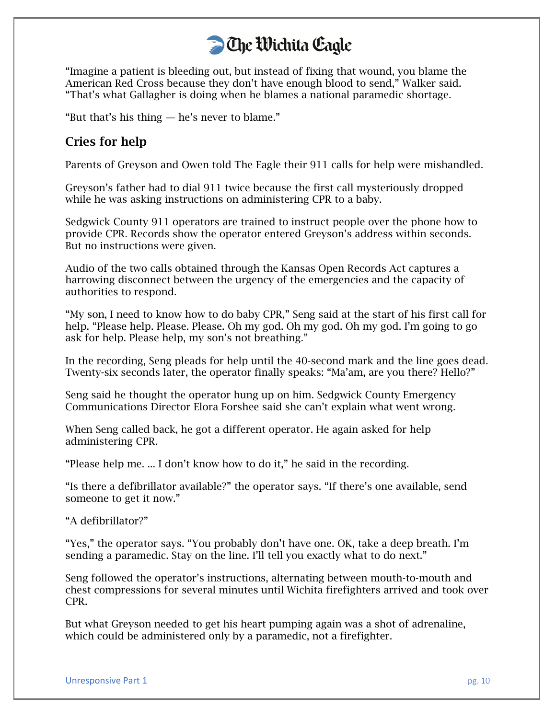"Imagine a patient is bleeding out, but instead of fixing that wound, you blame the American Red Cross because they don't have enough blood to send," Walker said. "That's what Gallagher is doing when he blames a national paramedic shortage.

"But that's his thing — he's never to blame."

#### Cries for help

Parents of Greyson and Owen told The Eagle their 911 calls for help were mishandled.

Greyson's father had to dial 911 twice because the first call mysteriously dropped while he was asking instructions on administering CPR to a baby.

Sedgwick County 911 operators are trained to instruct people over the phone how to provide CPR. Records show the operator entered Greyson's address within seconds. But no instructions were given.

Audio of the two calls obtained through the Kansas Open Records Act captures a harrowing disconnect between the urgency of the emergencies and the capacity of authorities to respond.

"My son, I need to know how to do baby CPR," Seng said at the start of his first call for help. "Please help. Please. Please. Oh my god. Oh my god. Oh my god. I'm going to go ask for help. Please help, my son's not breathing."

In the recording, Seng pleads for help until the 40-second mark and the line goes dead. Twenty-six seconds later, the operator finally speaks: "Ma'am, are you there? Hello?"

Seng said he thought the operator hung up on him. Sedgwick County Emergency Communications Director Elora Forshee said she can't explain what went wrong.

When Seng called back, he got a different operator. He again asked for help administering CPR.

"Please help me. ... I don't know how to do it," he said in the recording.

"Is there a defibrillator available?" the operator says. "If there's one available, send someone to get it now."

"A defibrillator?"

"Yes," the operator says. "You probably don't have one. OK, take a deep breath. I'm sending a paramedic. Stay on the line. I'll tell you exactly what to do next."

Seng followed the operator's instructions, alternating between mouth-to-mouth and chest compressions for several minutes until Wichita firefighters arrived and took over CPR.

But what Greyson needed to get his heart pumping again was a shot of adrenaline, which could be administered only by a paramedic, not a firefighter.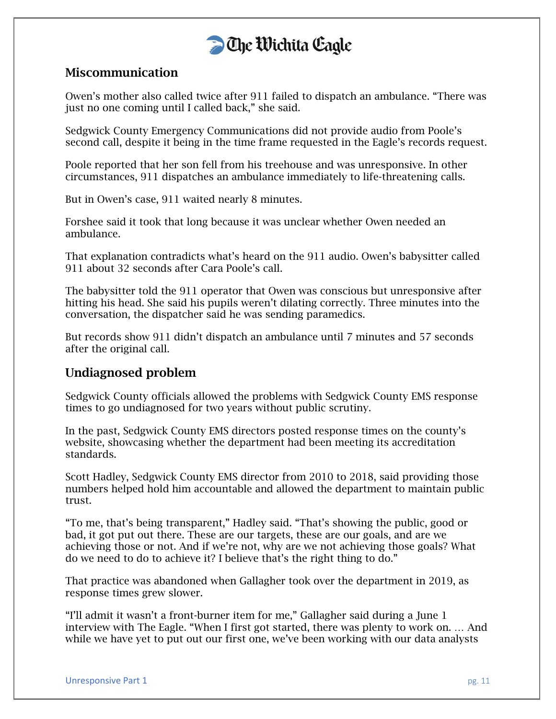

#### Miscommunication

Owen's mother also called twice after 911 failed to dispatch an ambulance. "There was just no one coming until I called back," she said.

Sedgwick County Emergency Communications did not provide audio from Poole's second call, despite it being in the time frame requested in the Eagle's records request.

Poole reported that her son fell from his treehouse and was unresponsive. In other circumstances, 911 dispatches an ambulance immediately to life-threatening calls.

But in Owen's case, 911 waited nearly 8 minutes.

Forshee said it took that long because it was unclear whether Owen needed an ambulance.

That explanation contradicts what's heard on the 911 audio. Owen's babysitter called 911 about 32 seconds after Cara Poole's call.

The babysitter told the 911 operator that Owen was conscious but unresponsive after hitting his head. She said his pupils weren't dilating correctly. Three minutes into the conversation, the dispatcher said he was sending paramedics.

But records show 911 didn't dispatch an ambulance until 7 minutes and 57 seconds after the original call.

#### Undiagnosed problem

Sedgwick County officials allowed the problems with Sedgwick County EMS response times to go undiagnosed for two years without public scrutiny.

In the past, Sedgwick County EMS directors posted response times on the county's website, showcasing whether the department had been meeting its accreditation standards.

Scott Hadley, Sedgwick County EMS director from 2010 to 2018, said providing those numbers helped hold him accountable and allowed the department to maintain public trust.

"To me, that's being transparent," Hadley said. "That's showing the public, good or bad, it got put out there. These are our targets, these are our goals, and are we achieving those or not. And if we're not, why are we not achieving those goals? What do we need to do to achieve it? I believe that's the right thing to do."

That practice was abandoned when Gallagher took over the department in 2019, as response times grew slower.

"I'll admit it wasn't a front-burner item for me," Gallagher said during a June 1 interview with The Eagle. "When I first got started, there was plenty to work on. … And while we have yet to put out our first one, we've been working with our data analysts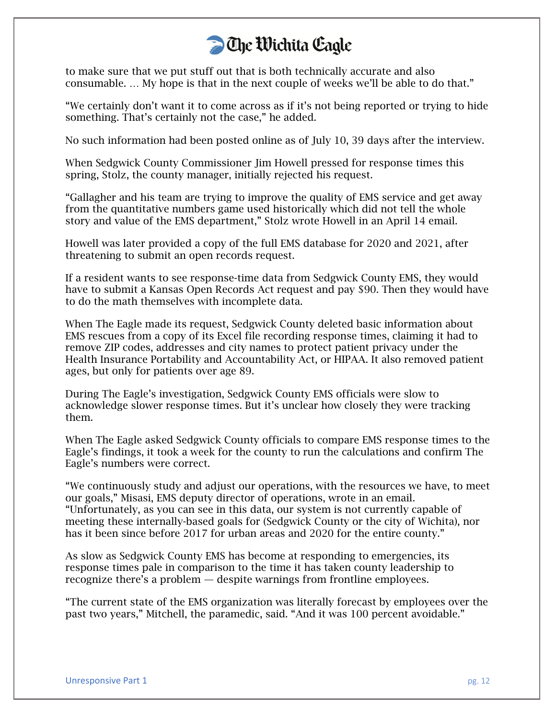to make sure that we put stuff out that is both technically accurate and also consumable. … My hope is that in the next couple of weeks we'll be able to do that."

"We certainly don't want it to come across as if it's not being reported or trying to hide something. That's certainly not the case," he added.

No such information had been posted online as of July 10, 39 days after the interview.

When Sedgwick County Commissioner Jim Howell pressed for response times this spring, Stolz, the county manager, initially rejected his request.

"Gallagher and his team are trying to improve the quality of EMS service and get away from the quantitative numbers game used historically which did not tell the whole story and value of the EMS department," Stolz wrote Howell in an April 14 email.

Howell was later provided a copy of the full EMS database for 2020 and 2021, after threatening to submit an open records request.

If a resident wants to see response-time data from Sedgwick County EMS, they would have to submit a Kansas Open Records Act request and pay \$90. Then they would have to do the math themselves with incomplete data.

When The Eagle made its request, Sedgwick County deleted basic information about EMS rescues from a copy of its Excel file recording response times, claiming it had to remove ZIP codes, addresses and city names to protect patient privacy under the Health Insurance Portability and Accountability Act, or HIPAA. It also removed patient ages, but only for patients over age 89.

During The Eagle's investigation, Sedgwick County EMS officials were slow to acknowledge slower response times. But it's unclear how closely they were tracking them.

When The Eagle asked Sedgwick County officials to compare EMS response times to the Eagle's findings, it took a week for the county to run the calculations and confirm The Eagle's numbers were correct.

"We continuously study and adjust our operations, with the resources we have, to meet our goals," Misasi, EMS deputy director of operations, wrote in an email. "Unfortunately, as you can see in this data, our system is not currently capable of meeting these internally-based goals for (Sedgwick County or the city of Wichita), nor has it been since before 2017 for urban areas and 2020 for the entire county."

As slow as Sedgwick County EMS has become at responding to emergencies, its response times pale in comparison to the time it has taken county leadership to recognize there's a problem — despite warnings from frontline employees.

"The current state of the EMS organization was literally forecast by employees over the past two years," Mitchell, the paramedic, said. "And it was 100 percent avoidable."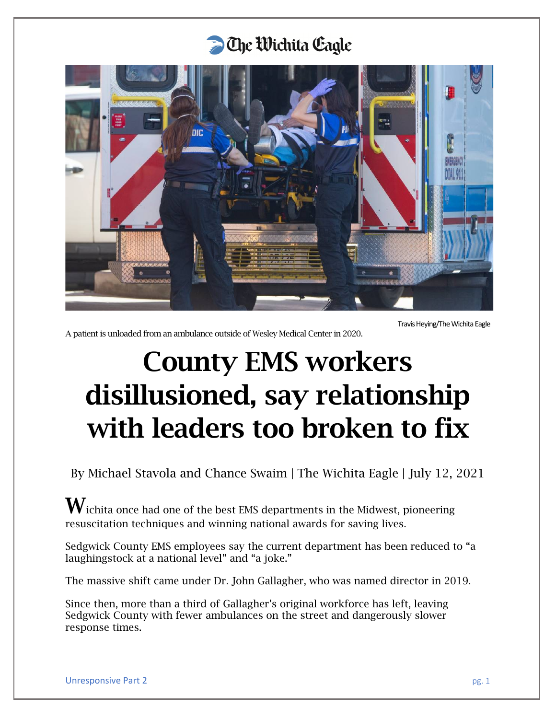

Travis Heying/The Wichita Eagle

A patient is unloaded from an ambulance outside of Wesley Medical Center in 2020.

# County EMS workers disillusioned, say relationship with leaders too broken to fix

By Michael Stavola and Chance Swaim | The Wichita Eagle | July 12, 2021

 $\mathbf W$ ichita once had one of the best EMS departments in the Midwest, pioneering resuscitation techniques and winning national awards for saving lives.

Sedgwick County EMS employees say the current department has been reduced to "a laughingstock at a national level" and "a joke."

The massive shift came under Dr. John Gallagher, who was named director in 2019.

Since then, more than a third of Gallagher's original workforce has left, leaving Sedgwick County with fewer ambulances on the street and dangerously slower response times.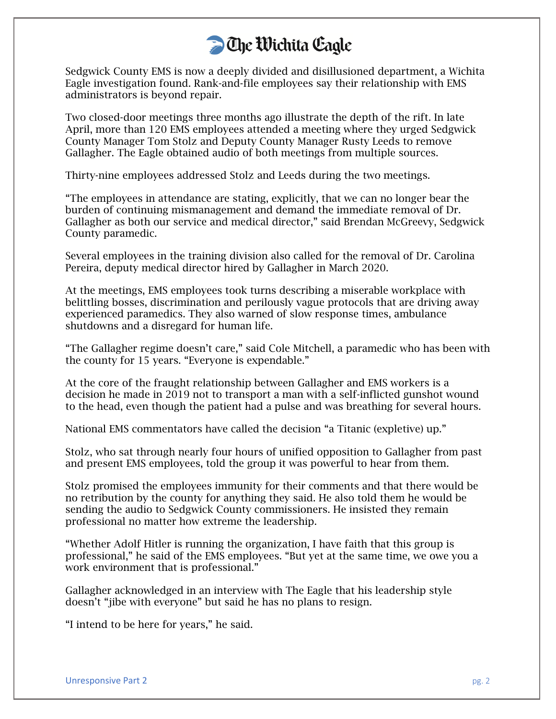Sedgwick County EMS is now a deeply divided and disillusioned department, a Wichita Eagle investigation found. Rank-and-file employees say their relationship with EMS administrators is beyond repair.

Two closed-door meetings three months ago illustrate the depth of the rift. In late April, more than 120 EMS employees attended a meeting where they urged Sedgwick County Manager Tom Stolz and Deputy County Manager Rusty Leeds to remove Gallagher. The Eagle obtained audio of both meetings from multiple sources.

Thirty-nine employees addressed Stolz and Leeds during the two meetings.

"The employees in attendance are stating, explicitly, that we can no longer bear the burden of continuing mismanagement and demand the immediate removal of Dr. Gallagher as both our service and medical director," said Brendan McGreevy, Sedgwick County paramedic.

Several employees in the training division also called for the removal of Dr. Carolina Pereira, deputy medical director hired by Gallagher in March 2020.

At the meetings, EMS employees took turns describing a miserable workplace with belittling bosses, discrimination and perilously vague protocols that are driving away experienced paramedics. They also warned of slow response times, ambulance shutdowns and a disregard for human life.

"The Gallagher regime doesn't care," said Cole Mitchell, a paramedic who has been with the county for 15 years. "Everyone is expendable."

At the core of the fraught relationship between Gallagher and EMS workers is a decision he made in 2019 not to transport a man with a self-inflicted gunshot wound to the head, even though the patient had a pulse and was breathing for several hours.

National EMS commentators have called the decision "a Titanic (expletive) up."

Stolz, who sat through nearly four hours of unified opposition to Gallagher from past and present EMS employees, told the group it was powerful to hear from them.

Stolz promised the employees immunity for their comments and that there would be no retribution by the county for anything they said. He also told them he would be sending the audio to Sedgwick County commissioners. He insisted they remain professional no matter how extreme the leadership.

"Whether Adolf Hitler is running the organization, I have faith that this group is professional," he said of the EMS employees. "But yet at the same time, we owe you a work environment that is professional."

Gallagher acknowledged in an interview with The Eagle that his leadership style doesn't "jibe with everyone" but said he has no plans to resign.

"I intend to be here for years," he said.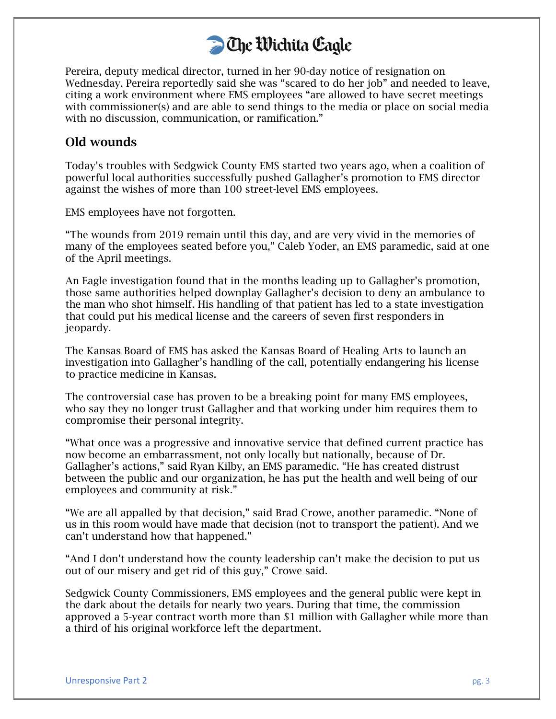

Pereira, deputy medical director, turned in her 90-day notice of resignation on Wednesday. Pereira reportedly said she was "scared to do her job" and needed to leave, citing a work environment where EMS employees "are allowed to have secret meetings with commissioner(s) and are able to send things to the media or place on social media with no discussion, communication, or ramification."

#### Old wounds

Today's troubles with Sedgwick County EMS started two years ago, when a coalition of powerful local authorities successfully pushed Gallagher's promotion to EMS director against the wishes of more than 100 street-level EMS employees.

EMS employees have not forgotten.

"The wounds from 2019 remain until this day, and are very vivid in the memories of many of the employees seated before you," Caleb Yoder, an EMS paramedic, said at one of the April meetings.

An Eagle investigation found that in the months leading up to Gallagher's promotion, those same authorities helped downplay Gallagher's decision to deny an ambulance to the man who shot himself. His handling of that patient has led to a state investigation that could put his medical license and the careers of seven first responders in jeopardy.

The Kansas Board of EMS has asked the Kansas Board of Healing Arts to launch an investigation into Gallagher's handling of the call, potentially endangering his license to practice medicine in Kansas.

The controversial case has proven to be a breaking point for many EMS employees, who say they no longer trust Gallagher and that working under him requires them to compromise their personal integrity.

"What once was a progressive and innovative service that defined current practice has now become an embarrassment, not only locally but nationally, because of Dr. Gallagher's actions," said Ryan Kilby, an EMS paramedic. "He has created distrust between the public and our organization, he has put the health and well being of our employees and community at risk."

"We are all appalled by that decision," said Brad Crowe, another paramedic. "None of us in this room would have made that decision (not to transport the patient). And we can't understand how that happened."

"And I don't understand how the county leadership can't make the decision to put us out of our misery and get rid of this guy," Crowe said.

Sedgwick County Commissioners, EMS employees and the general public were kept in the dark about the details for nearly two years. During that time, the commission approved a 5-year contract worth more than \$1 million with Gallagher while more than a third of his original workforce left the department.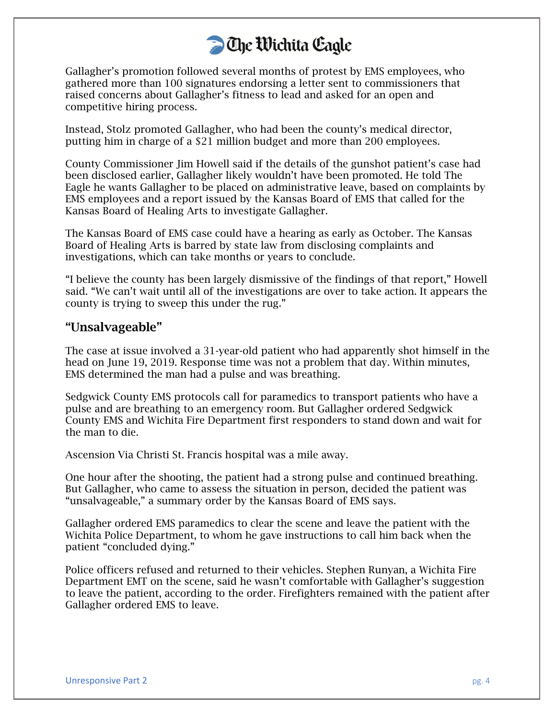Gallagher's promotion followed several months of protest by EMS employees, who gathered more than 100 signatures endorsing a letter sent to commissioners that raised concerns about Gallagher's fitness to lead and asked for an open and competitive hiring process.

Instead, Stolz promoted Gallagher, who had been the county's medical director, putting him in charge of a \$21 million budget and more than 200 employees.

County Commissioner Jim Howell said if the details of the gunshot patient's case had been disclosed earlier, Gallagher likely wouldn't have been promoted. He told The Eagle he wants Gallagher to be placed on administrative leave, based on complaints by EMS employees and a report issued by the Kansas Board of EMS that called for the Kansas Board of Healing Arts to investigate Gallagher.

The Kansas Board of EMS case could have a hearing as early as October. The Kansas Board of Healing Arts is barred by state law from disclosing complaints and investigations, which can take months or years to conclude.

"I believe the county has been largely dismissive of the findings of that report," Howell said. "We can't wait until all of the investigations are over to take action. It appears the county is trying to sweep this under the rug."

#### "Unsalvageable"

The case at issue involved a 31-year-old patient who had apparently shot himself in the head on June 19, 2019. Response time was not a problem that day. Within minutes, EMS determined the man had a pulse and was breathing.

Sedgwick County EMS protocols call for paramedics to transport patients who have a pulse and are breathing to an emergency room. But Gallagher ordered Sedgwick County EMS and Wichita Fire Department first responders to stand down and wait for the man to die.

Ascension Via Christi St. Francis hospital was a mile away.

One hour after the shooting, the patient had a strong pulse and continued breathing. But Gallagher, who came to assess the situation in person, decided the patient was "unsalvageable," a summary order by the Kansas Board of EMS says.

Gallagher ordered EMS paramedics to clear the scene and leave the patient with the Wichita Police Department, to whom he gave instructions to call him back when the patient "concluded dying."

Police officers refused and returned to their vehicles. Stephen Runyan, a Wichita Fire Department EMT on the scene, said he wasn't comfortable with Gallagher's suggestion to leave the patient, according to the order. Firefighters remained with the patient after Gallagher ordered EMS to leave.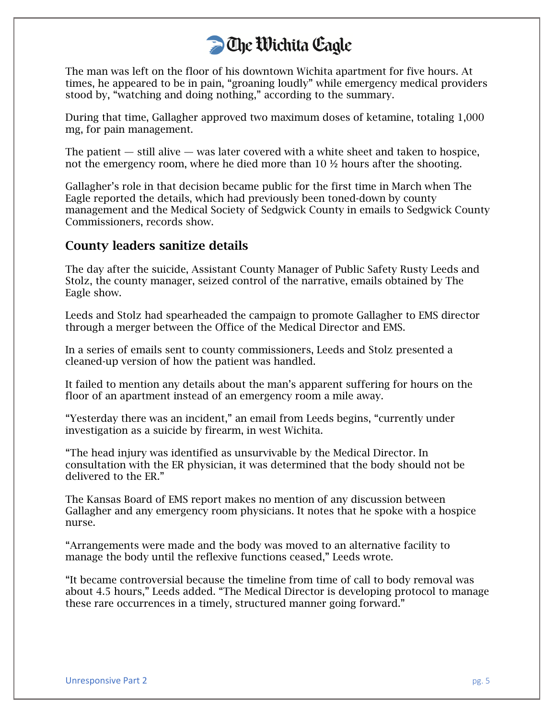The man was left on the floor of his downtown Wichita apartment for five hours. At times, he appeared to be in pain, "groaning loudly" while emergency medical providers stood by, "watching and doing nothing," according to the summary.

During that time, Gallagher approved two maximum doses of ketamine, totaling 1,000 mg, for pain management.

The patient  $-$  still alive  $-$  was later covered with a white sheet and taken to hospice, not the emergency room, where he died more than 10 ½ hours after the shooting.

Gallagher's role in that decision became public for the first time in March when The Eagle reported the details, which had previously been toned-down by county management and the Medical Society of Sedgwick County in emails to Sedgwick County Commissioners, records show.

#### County leaders sanitize details

The day after the suicide, Assistant County Manager of Public Safety Rusty Leeds and Stolz, the county manager, seized control of the narrative, emails obtained by The Eagle show.

Leeds and Stolz had spearheaded the campaign to promote Gallagher to EMS director through a merger between the Office of the Medical Director and EMS.

In a series of emails sent to county commissioners, Leeds and Stolz presented a cleaned-up version of how the patient was handled.

It failed to mention any details about the man's apparent suffering for hours on the floor of an apartment instead of an emergency room a mile away.

"Yesterday there was an incident," an email from Leeds begins, "currently under investigation as a suicide by firearm, in west Wichita.

"The head injury was identified as unsurvivable by the Medical Director. In consultation with the ER physician, it was determined that the body should not be delivered to the ER."

The Kansas Board of EMS report makes no mention of any discussion between Gallagher and any emergency room physicians. It notes that he spoke with a hospice nurse.

"Arrangements were made and the body was moved to an alternative facility to manage the body until the reflexive functions ceased," Leeds wrote.

"It became controversial because the timeline from time of call to body removal was about 4.5 hours," Leeds added. "The Medical Director is developing protocol to manage these rare occurrences in a timely, structured manner going forward."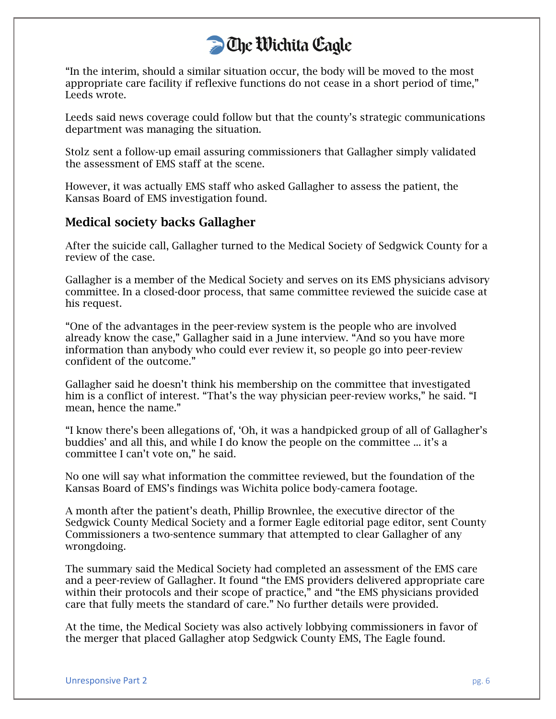"In the interim, should a similar situation occur, the body will be moved to the most appropriate care facility if reflexive functions do not cease in a short period of time," Leeds wrote.

Leeds said news coverage could follow but that the county's strategic communications department was managing the situation.

Stolz sent a follow-up email assuring commissioners that Gallagher simply validated the assessment of EMS staff at the scene.

However, it was actually EMS staff who asked Gallagher to assess the patient, the Kansas Board of EMS investigation found.

#### Medical society backs Gallagher

After the suicide call, Gallagher turned to the Medical Society of Sedgwick County for a review of the case.

Gallagher is a member of the Medical Society and serves on its EMS physicians advisory committee. In a closed-door process, that same committee reviewed the suicide case at his request.

"One of the advantages in the peer-review system is the people who are involved already know the case," Gallagher said in a June interview. "And so you have more information than anybody who could ever review it, so people go into peer-review confident of the outcome."

Gallagher said he doesn't think his membership on the committee that investigated him is a conflict of interest. "That's the way physician peer-review works," he said. "I mean, hence the name."

"I know there's been allegations of, 'Oh, it was a handpicked group of all of Gallagher's buddies' and all this, and while I do know the people on the committee ... it's a committee I can't vote on," he said.

No one will say what information the committee reviewed, but the foundation of the Kansas Board of EMS's findings was Wichita police body-camera footage.

A month after the patient's death, Phillip Brownlee, the executive director of the Sedgwick County Medical Society and a former Eagle editorial page editor, sent County Commissioners a two-sentence summary that attempted to clear Gallagher of any wrongdoing.

The summary said the Medical Society had completed an assessment of the EMS care and a peer-review of Gallagher. It found "the EMS providers delivered appropriate care within their protocols and their scope of practice," and "the EMS physicians provided care that fully meets the standard of care." No further details were provided.

At the time, the Medical Society was also actively lobbying commissioners in favor of the merger that placed Gallagher atop Sedgwick County EMS, The Eagle found.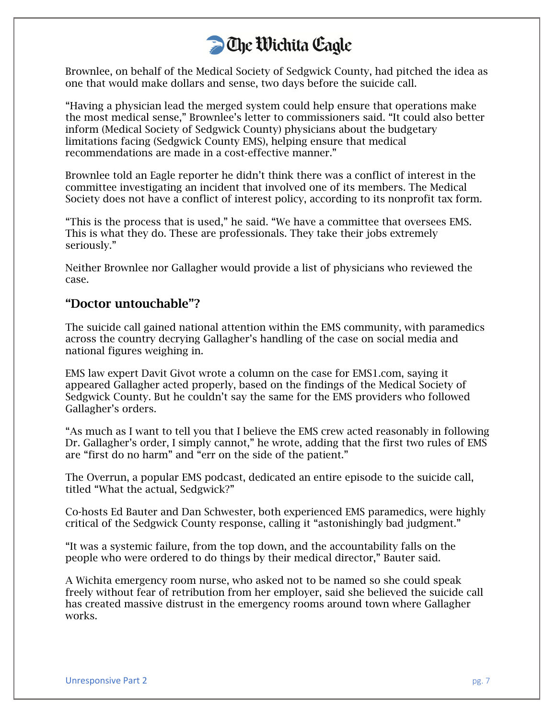Brownlee, on behalf of the Medical Society of Sedgwick County, had pitched the idea as one that would make dollars and sense, two days before the suicide call.

"Having a physician lead the merged system could help ensure that operations make the most medical sense," Brownlee's letter to commissioners said. "It could also better inform (Medical Society of Sedgwick County) physicians about the budgetary limitations facing (Sedgwick County EMS), helping ensure that medical recommendations are made in a cost-effective manner."

Brownlee told an Eagle reporter he didn't think there was a conflict of interest in the committee investigating an incident that involved one of its members. The Medical Society does not have a conflict of interest policy, according to its nonprofit tax form.

"This is the process that is used," he said. "We have a committee that oversees EMS. This is what they do. These are professionals. They take their jobs extremely seriously."

Neither Brownlee nor Gallagher would provide a list of physicians who reviewed the case.

#### "Doctor untouchable"?

The suicide call gained national attention within the EMS community, with paramedics across the country decrying Gallagher's handling of the case on social media and national figures weighing in.

EMS law expert Davit Givot wrote a column on the case for EMS1.com, saying it appeared Gallagher acted properly, based on the findings of the Medical Society of Sedgwick County. But he couldn't say the same for the EMS providers who followed Gallagher's orders.

"As much as I want to tell you that I believe the EMS crew acted reasonably in following Dr. Gallagher's order, I simply cannot," he wrote, adding that the first two rules of EMS are "first do no harm" and "err on the side of the patient."

The Overrun, a popular EMS podcast, dedicated an entire episode to the suicide call, titled "What the actual, Sedgwick?"

Co-hosts Ed Bauter and Dan Schwester, both experienced EMS paramedics, were highly critical of the Sedgwick County response, calling it "astonishingly bad judgment."

"It was a systemic failure, from the top down, and the accountability falls on the people who were ordered to do things by their medical director," Bauter said.

A Wichita emergency room nurse, who asked not to be named so she could speak freely without fear of retribution from her employer, said she believed the suicide call has created massive distrust in the emergency rooms around town where Gallagher works.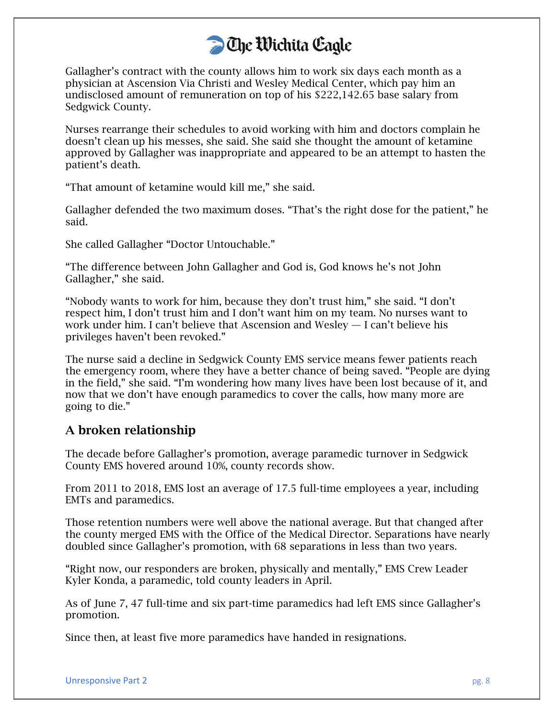Gallagher's contract with the county allows him to work six days each month as a physician at Ascension Via Christi and Wesley Medical Center, which pay him an undisclosed amount of remuneration on top of his \$222,142.65 base salary from Sedgwick County.

Nurses rearrange their schedules to avoid working with him and doctors complain he doesn't clean up his messes, she said. She said she thought the amount of ketamine approved by Gallagher was inappropriate and appeared to be an attempt to hasten the patient's death.

"That amount of ketamine would kill me," she said.

Gallagher defended the two maximum doses. "That's the right dose for the patient," he said.

She called Gallagher "Doctor Untouchable."

"The difference between John Gallagher and God is, God knows he's not John Gallagher," she said.

"Nobody wants to work for him, because they don't trust him," she said. "I don't respect him, I don't trust him and I don't want him on my team. No nurses want to work under him. I can't believe that Ascension and Wesley — I can't believe his privileges haven't been revoked."

The nurse said a decline in Sedgwick County EMS service means fewer patients reach the emergency room, where they have a better chance of being saved. "People are dying in the field," she said. "I'm wondering how many lives have been lost because of it, and now that we don't have enough paramedics to cover the calls, how many more are going to die."

#### A broken relationship

The decade before Gallagher's promotion, average paramedic turnover in Sedgwick County EMS hovered around 10%, county records show.

From 2011 to 2018, EMS lost an average of 17.5 full-time employees a year, including EMTs and paramedics.

Those retention numbers were well above the national average. But that changed after the county merged EMS with the Office of the Medical Director. Separations have nearly doubled since Gallagher's promotion, with 68 separations in less than two years.

"Right now, our responders are broken, physically and mentally," EMS Crew Leader Kyler Konda, a paramedic, told county leaders in April.

As of June 7, 47 full-time and six part-time paramedics had left EMS since Gallagher's promotion.

Since then, at least five more paramedics have handed in resignations.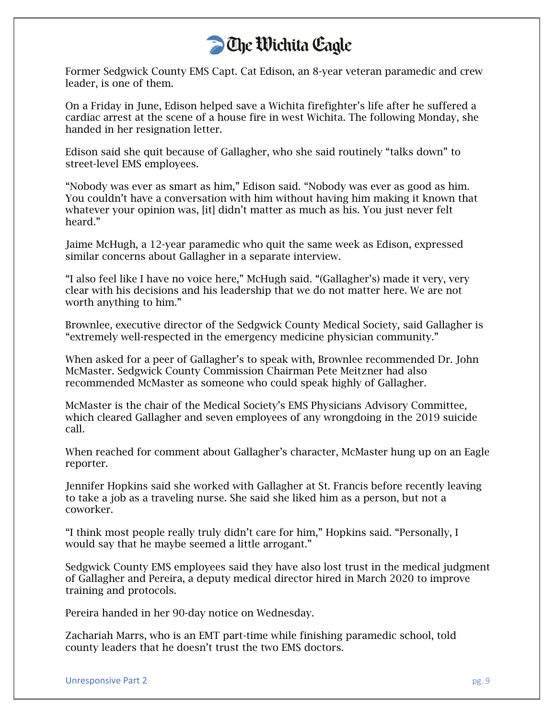Former Sedgwick County EMS Capt. Cat Edison, an 8-year veteran paramedic and crew leader, is one of them.

On a Friday in June, Edison helped save a Wichita firefighter's life after he suffered a cardiac arrest at the scene of a house fire in west Wichita. The following Monday, she handed in her resignation letter.

Edison said she quit because of Gallagher, who she said routinely "talks down" to street-level EMS employees.

"Nobody was ever as smart as him," Edison said. "Nobody was ever as good as him. You couldn't have a conversation with him without having him making it known that whatever your opinion was, [it] didn't matter as much as his. You just never felt heard."

Jaime McHugh, a 12-year paramedic who quit the same week as Edison, expressed similar concerns about Gallagher in a separate interview.

"I also feel like I have no voice here," McHugh said. "(Gallagher's) made it very, very clear with his decisions and his leadership that we do not matter here. We are not worth anything to him."

Brownlee, executive director of the Sedgwick County Medical Society, said Gallagher is "extremely well-respected in the emergency medicine physician community."

When asked for a peer of Gallagher's to speak with, Brownlee recommended Dr. John McMaster. Sedgwick County Commission Chairman Pete Meitzner had also recommended McMaster as someone who could speak highly of Gallagher.

McMaster is the chair of the Medical Society's EMS Physicians Advisory Committee, which cleared Gallagher and seven employees of any wrongdoing in the 2019 suicide call.

When reached for comment about Gallagher's character, McMaster hung up on an Eagle reporter.

Jennifer Hopkins said she worked with Gallagher at St. Francis before recently leaving to take a job as a traveling nurse. She said she liked him as a person, but not a coworker.

"I think most people really truly didn't care for him," Hopkins said. "Personally, I would say that he maybe seemed a little arrogant."

Sedgwick County EMS employees said they have also lost trust in the medical judgment of Gallagher and Pereira, a deputy medical director hired in March 2020 to improve training and protocols.

Pereira handed in her 90-day notice on Wednesday.

Zachariah Marrs, who is an EMT part-time while finishing paramedic school, told county leaders that he doesn't trust the two EMS doctors.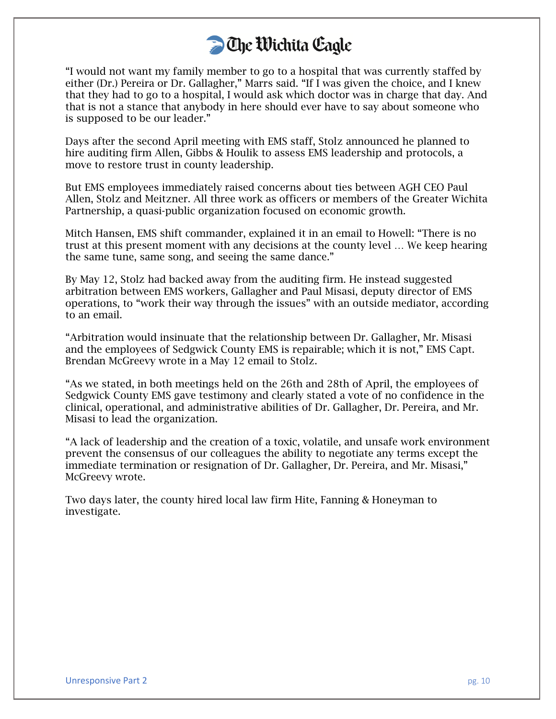"I would not want my family member to go to a hospital that was currently staffed by either (Dr.) Pereira or Dr. Gallagher," Marrs said. "If I was given the choice, and I knew that they had to go to a hospital, I would ask which doctor was in charge that day. And that is not a stance that anybody in here should ever have to say about someone who is supposed to be our leader."

Days after the second April meeting with EMS staff, Stolz announced he planned to hire auditing firm Allen, Gibbs & Houlik to assess EMS leadership and protocols, a move to restore trust in county leadership.

But EMS employees immediately raised concerns about ties between AGH CEO Paul Allen, Stolz and Meitzner. All three work as officers or members of the Greater Wichita Partnership, a quasi-public organization focused on economic growth.

Mitch Hansen, EMS shift commander, explained it in an email to Howell: "There is no trust at this present moment with any decisions at the county level … We keep hearing the same tune, same song, and seeing the same dance."

By May 12, Stolz had backed away from the auditing firm. He instead suggested arbitration between EMS workers, Gallagher and Paul Misasi, deputy director of EMS operations, to "work their way through the issues" with an outside mediator, according to an email.

"Arbitration would insinuate that the relationship between Dr. Gallagher, Mr. Misasi and the employees of Sedgwick County EMS is repairable; which it is not," EMS Capt. Brendan McGreevy wrote in a May 12 email to Stolz.

"As we stated, in both meetings held on the 26th and 28th of April, the employees of Sedgwick County EMS gave testimony and clearly stated a vote of no confidence in the clinical, operational, and administrative abilities of Dr. Gallagher, Dr. Pereira, and Mr. Misasi to lead the organization.

"A lack of leadership and the creation of a toxic, volatile, and unsafe work environment prevent the consensus of our colleagues the ability to negotiate any terms except the immediate termination or resignation of Dr. Gallagher, Dr. Pereira, and Mr. Misasi," McGreevy wrote.

Two days later, the county hired local law firm Hite, Fanning & Honeyman to investigate.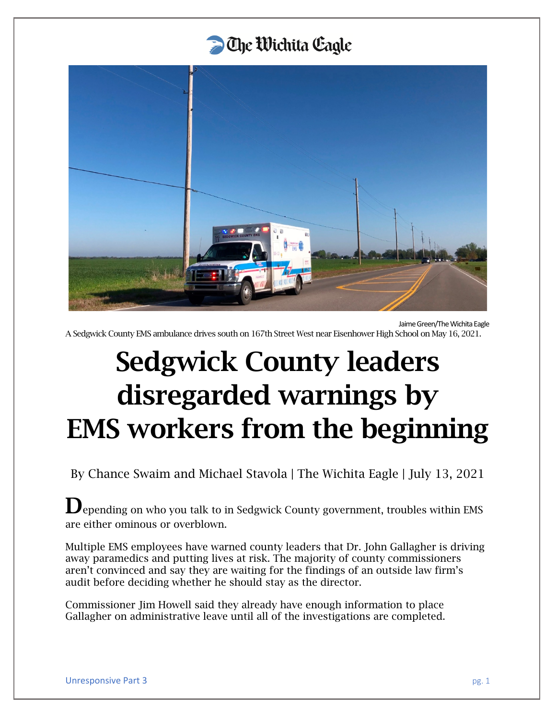

Jaime Green/The Wichita Eagle

A Sedgwick County EMS ambulance drives south on 167th Street West near Eisenhower High School on May 16, 2021.

# Sedgwick County leaders disregarded warnings by EMS workers from the beginning

By Chance Swaim and Michael Stavola | The Wichita Eagle | July 13, 2021

 $\mathbf D$  epending on who you talk to in Sedgwick County government, troubles within EMS are either ominous or overblown.

Multiple EMS employees have warned county leaders that Dr. John Gallagher is driving away paramedics and putting lives at risk. The majority of county commissioners aren't convinced and say they are waiting for the findings of an outside law firm's audit before deciding whether he should stay as the director.

Commissioner Jim Howell said they already have enough information to place Gallagher on administrative leave until all of the investigations are completed.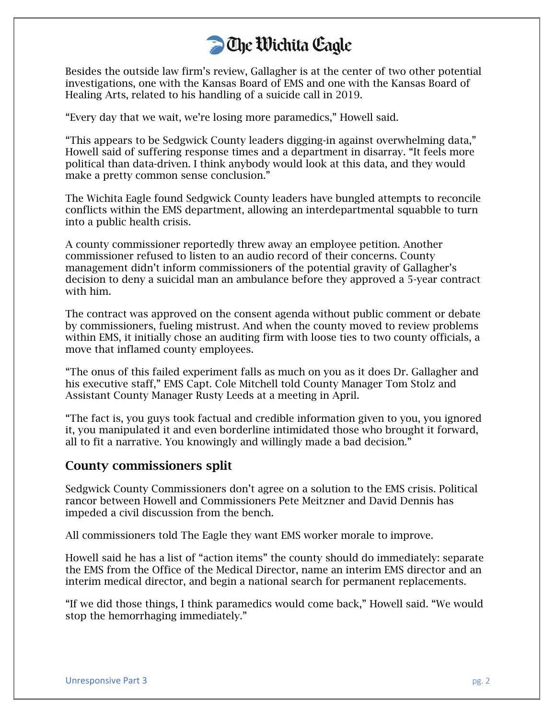Besides the outside law firm's review, Gallagher is at the center of two other potential investigations, one with the Kansas Board of EMS and one with the Kansas Board of Healing Arts, related to his handling of a suicide call in 2019.

"Every day that we wait, we're losing more paramedics," Howell said.

"This appears to be Sedgwick County leaders digging-in against overwhelming data," Howell said of suffering response times and a department in disarray. "It feels more political than data-driven. I think anybody would look at this data, and they would make a pretty common sense conclusion."

The Wichita Eagle found Sedgwick County leaders have bungled attempts to reconcile conflicts within the EMS department, allowing an interdepartmental squabble to turn into a public health crisis.

A county commissioner reportedly threw away an employee petition. Another commissioner refused to listen to an audio record of their concerns. County management didn't inform commissioners of the potential gravity of Gallagher's decision to deny a suicidal man an ambulance before they approved a 5-year contract with him.

The contract was approved on the consent agenda without public comment or debate by commissioners, fueling mistrust. And when the county moved to review problems within EMS, it initially chose an auditing firm with loose ties to two county officials, a move that inflamed county employees.

"The onus of this failed experiment falls as much on you as it does Dr. Gallagher and his executive staff," EMS Capt. Cole Mitchell told County Manager Tom Stolz and Assistant County Manager Rusty Leeds at a meeting in April.

"The fact is, you guys took factual and credible information given to you, you ignored it, you manipulated it and even borderline intimidated those who brought it forward, all to fit a narrative. You knowingly and willingly made a bad decision."

#### County commissioners split

Sedgwick County Commissioners don't agree on a solution to the EMS crisis. Political rancor between Howell and Commissioners Pete Meitzner and David Dennis has impeded a civil discussion from the bench.

All commissioners told The Eagle they want EMS worker morale to improve.

Howell said he has a list of "action items" the county should do immediately: separate the EMS from the Office of the Medical Director, name an interim EMS director and an interim medical director, and begin a national search for permanent replacements.

"If we did those things, I think paramedics would come back," Howell said. "We would stop the hemorrhaging immediately."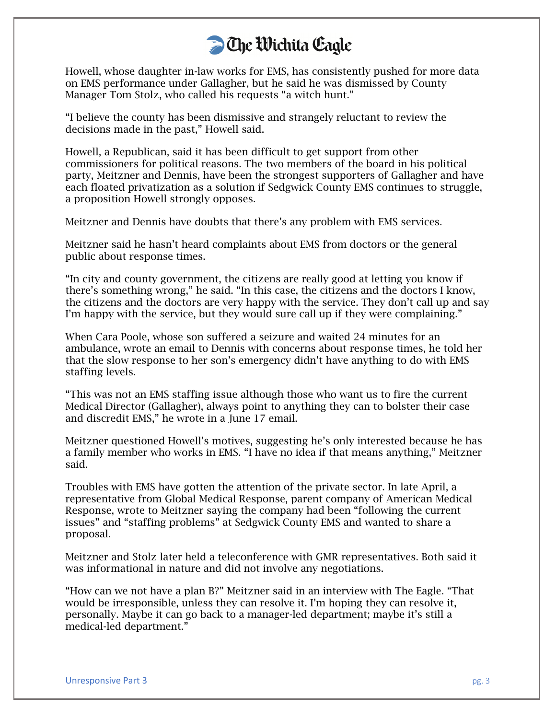Howell, whose daughter in-law works for EMS, has consistently pushed for more data on EMS performance under Gallagher, but he said he was dismissed by County Manager Tom Stolz, who called his requests "a witch hunt."

"I believe the county has been dismissive and strangely reluctant to review the decisions made in the past," Howell said.

Howell, a Republican, said it has been difficult to get support from other commissioners for political reasons. The two members of the board in his political party, Meitzner and Dennis, have been the strongest supporters of Gallagher and have each floated privatization as a solution if Sedgwick County EMS continues to struggle, a proposition Howell strongly opposes.

Meitzner and Dennis have doubts that there's any problem with EMS services.

Meitzner said he hasn't heard complaints about EMS from doctors or the general public about response times.

"In city and county government, the citizens are really good at letting you know if there's something wrong," he said. "In this case, the citizens and the doctors I know, the citizens and the doctors are very happy with the service. They don't call up and say I'm happy with the service, but they would sure call up if they were complaining."

When Cara Poole, whose son suffered a seizure and waited 24 minutes for an ambulance, wrote an email to Dennis with concerns about response times, he told her that the slow response to her son's emergency didn't have anything to do with EMS staffing levels.

"This was not an EMS staffing issue although those who want us to fire the current Medical Director (Gallagher), always point to anything they can to bolster their case and discredit EMS," he wrote in a June 17 email.

Meitzner questioned Howell's motives, suggesting he's only interested because he has a family member who works in EMS. "I have no idea if that means anything," Meitzner said.

Troubles with EMS have gotten the attention of the private sector. In late April, a representative from Global Medical Response, parent company of American Medical Response, wrote to Meitzner saying the company had been "following the current issues" and "staffing problems" at Sedgwick County EMS and wanted to share a proposal.

Meitzner and Stolz later held a teleconference with GMR representatives. Both said it was informational in nature and did not involve any negotiations.

"How can we not have a plan B?" Meitzner said in an interview with The Eagle. "That would be irresponsible, unless they can resolve it. I'm hoping they can resolve it, personally. Maybe it can go back to a manager-led department; maybe it's still a medical-led department."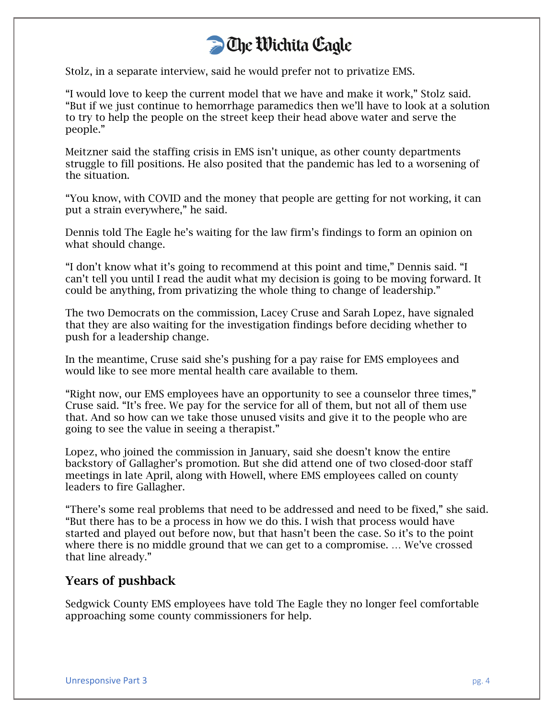Stolz, in a separate interview, said he would prefer not to privatize EMS.

"I would love to keep the current model that we have and make it work," Stolz said. "But if we just continue to hemorrhage paramedics then we'll have to look at a solution to try to help the people on the street keep their head above water and serve the people."

Meitzner said the staffing crisis in EMS isn't unique, as other county departments struggle to fill positions. He also posited that the pandemic has led to a worsening of the situation.

"You know, with COVID and the money that people are getting for not working, it can put a strain everywhere," he said.

Dennis told The Eagle he's waiting for the law firm's findings to form an opinion on what should change.

"I don't know what it's going to recommend at this point and time," Dennis said. "I can't tell you until I read the audit what my decision is going to be moving forward. It could be anything, from privatizing the whole thing to change of leadership."

The two Democrats on the commission, Lacey Cruse and Sarah Lopez, have signaled that they are also waiting for the investigation findings before deciding whether to push for a leadership change.

In the meantime, Cruse said she's pushing for a pay raise for EMS employees and would like to see more mental health care available to them.

"Right now, our EMS employees have an opportunity to see a counselor three times," Cruse said. "It's free. We pay for the service for all of them, but not all of them use that. And so how can we take those unused visits and give it to the people who are going to see the value in seeing a therapist."

Lopez, who joined the commission in January, said she doesn't know the entire backstory of Gallagher's promotion. But she did attend one of two closed-door staff meetings in late April, along with Howell, where EMS employees called on county leaders to fire Gallagher.

"There's some real problems that need to be addressed and need to be fixed," she said. "But there has to be a process in how we do this. I wish that process would have started and played out before now, but that hasn't been the case. So it's to the point where there is no middle ground that we can get to a compromise. … We've crossed that line already."

#### Years of pushback

Sedgwick County EMS employees have told The Eagle they no longer feel comfortable approaching some county commissioners for help.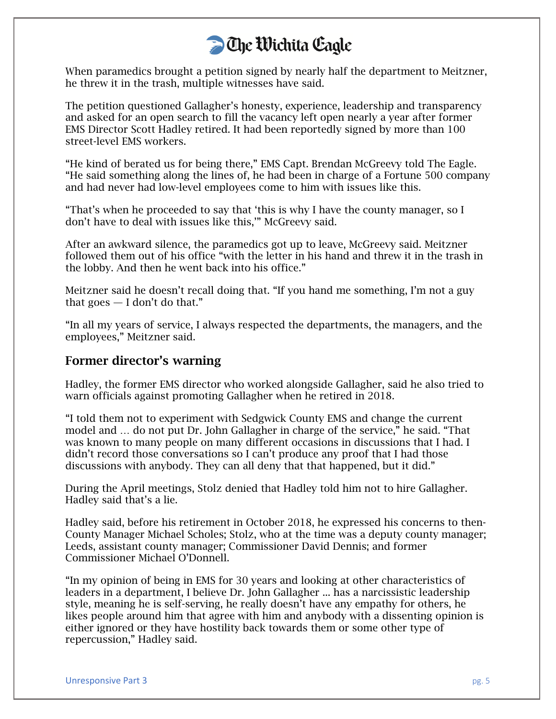When paramedics brought a petition signed by nearly half the department to Meitzner, he threw it in the trash, multiple witnesses have said.

The petition questioned Gallagher's honesty, experience, leadership and transparency and asked for an open search to fill the vacancy left open nearly a year after former EMS Director Scott Hadley retired. It had been reportedly signed by more than 100 street-level EMS workers.

"He kind of berated us for being there," EMS Capt. Brendan McGreevy told The Eagle. "He said something along the lines of, he had been in charge of a Fortune 500 company and had never had low-level employees come to him with issues like this.

"That's when he proceeded to say that 'this is why I have the county manager, so I don't have to deal with issues like this,'" McGreevy said.

After an awkward silence, the paramedics got up to leave, McGreevy said. Meitzner followed them out of his office "with the letter in his hand and threw it in the trash in the lobby. And then he went back into his office."

Meitzner said he doesn't recall doing that. "If you hand me something, I'm not a guy that goes  $-$  I don't do that."

"In all my years of service, I always respected the departments, the managers, and the employees," Meitzner said.

#### Former director's warning

Hadley, the former EMS director who worked alongside Gallagher, said he also tried to warn officials against promoting Gallagher when he retired in 2018.

"I told them not to experiment with Sedgwick County EMS and change the current model and … do not put Dr. John Gallagher in charge of the service," he said. "That was known to many people on many different occasions in discussions that I had. I didn't record those conversations so I can't produce any proof that I had those discussions with anybody. They can all deny that that happened, but it did."

During the April meetings, Stolz denied that Hadley told him not to hire Gallagher. Hadley said that's a lie.

Hadley said, before his retirement in October 2018, he expressed his concerns to then-County Manager Michael Scholes; Stolz, who at the time was a deputy county manager; Leeds, assistant county manager; Commissioner David Dennis; and former Commissioner Michael O'Donnell.

"In my opinion of being in EMS for 30 years and looking at other characteristics of leaders in a department, I believe Dr. John Gallagher ... has a narcissistic leadership style, meaning he is self-serving, he really doesn't have any empathy for others, he likes people around him that agree with him and anybody with a dissenting opinion is either ignored or they have hostility back towards them or some other type of repercussion," Hadley said.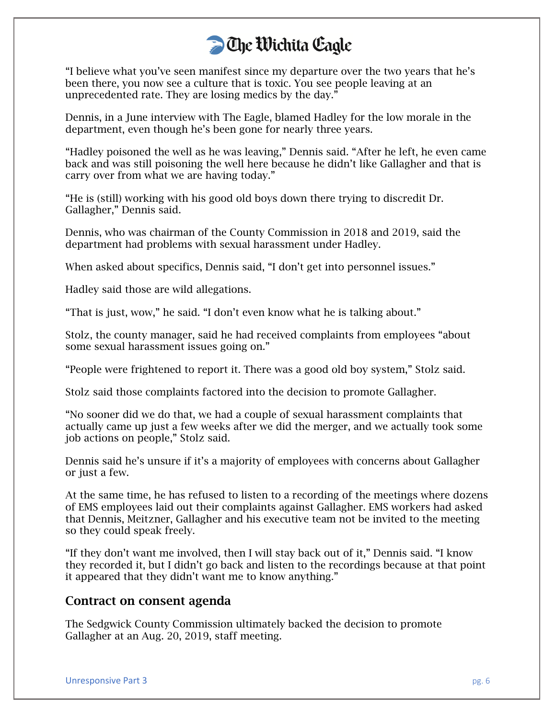"I believe what you've seen manifest since my departure over the two years that he's been there, you now see a culture that is toxic. You see people leaving at an unprecedented rate. They are losing medics by the day."

Dennis, in a June interview with The Eagle, blamed Hadley for the low morale in the department, even though he's been gone for nearly three years.

"Hadley poisoned the well as he was leaving," Dennis said. "After he left, he even came back and was still poisoning the well here because he didn't like Gallagher and that is carry over from what we are having today."

"He is (still) working with his good old boys down there trying to discredit Dr. Gallagher," Dennis said.

Dennis, who was chairman of the County Commission in 2018 and 2019, said the department had problems with sexual harassment under Hadley.

When asked about specifics, Dennis said, "I don't get into personnel issues."

Hadley said those are wild allegations.

"That is just, wow," he said. "I don't even know what he is talking about."

Stolz, the county manager, said he had received complaints from employees "about some sexual harassment issues going on."

"People were frightened to report it. There was a good old boy system," Stolz said.

Stolz said those complaints factored into the decision to promote Gallagher.

"No sooner did we do that, we had a couple of sexual harassment complaints that actually came up just a few weeks after we did the merger, and we actually took some job actions on people," Stolz said.

Dennis said he's unsure if it's a majority of employees with concerns about Gallagher or just a few.

At the same time, he has refused to listen to a recording of the meetings where dozens of EMS employees laid out their complaints against Gallagher. EMS workers had asked that Dennis, Meitzner, Gallagher and his executive team not be invited to the meeting so they could speak freely.

"If they don't want me involved, then I will stay back out of it," Dennis said. "I know they recorded it, but I didn't go back and listen to the recordings because at that point it appeared that they didn't want me to know anything."

#### Contract on consent agenda

The Sedgwick County Commission ultimately backed the decision to promote Gallagher at an Aug. 20, 2019, staff meeting.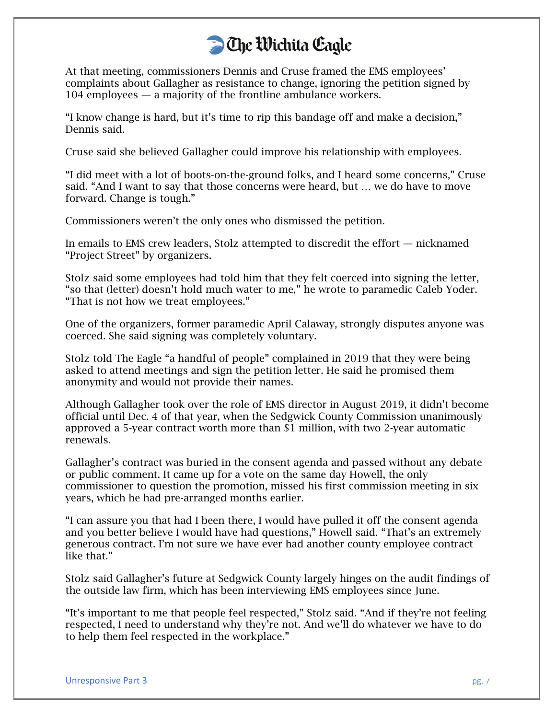At that meeting, commissioners Dennis and Cruse framed the EMS employees' complaints about Gallagher as resistance to change, ignoring the petition signed by 104 employees — a majority of the frontline ambulance workers.

"I know change is hard, but it's time to rip this bandage off and make a decision," Dennis said.

Cruse said she believed Gallagher could improve his relationship with employees.

"I did meet with a lot of boots-on-the-ground folks, and I heard some concerns," Cruse said. "And I want to say that those concerns were heard, but … we do have to move forward. Change is tough."

Commissioners weren't the only ones who dismissed the petition.

In emails to EMS crew leaders, Stolz attempted to discredit the effort — nicknamed "Project Street" by organizers.

Stolz said some employees had told him that they felt coerced into signing the letter, "so that (letter) doesn't hold much water to me," he wrote to paramedic Caleb Yoder. "That is not how we treat employees."

One of the organizers, former paramedic April Calaway, strongly disputes anyone was coerced. She said signing was completely voluntary.

Stolz told The Eagle "a handful of people" complained in 2019 that they were being asked to attend meetings and sign the petition letter. He said he promised them anonymity and would not provide their names.

Although Gallagher took over the role of EMS director in August 2019, it didn't become official until Dec. 4 of that year, when the Sedgwick County Commission unanimously approved a 5-year contract worth more than \$1 million, with two 2-year automatic renewals.

Gallagher's contract was buried in the consent agenda and passed without any debate or public comment. It came up for a vote on the same day Howell, the only commissioner to question the promotion, missed his first commission meeting in six years, which he had pre-arranged months earlier.

"I can assure you that had I been there, I would have pulled it off the consent agenda and you better believe I would have had questions," Howell said. "That's an extremely generous contract. I'm not sure we have ever had another county employee contract like that."

Stolz said Gallagher's future at Sedgwick County largely hinges on the audit findings of the outside law firm, which has been interviewing EMS employees since June.

"It's important to me that people feel respected," Stolz said. "And if they're not feeling respected, I need to understand why they're not. And we'll do whatever we have to do to help them feel respected in the workplace."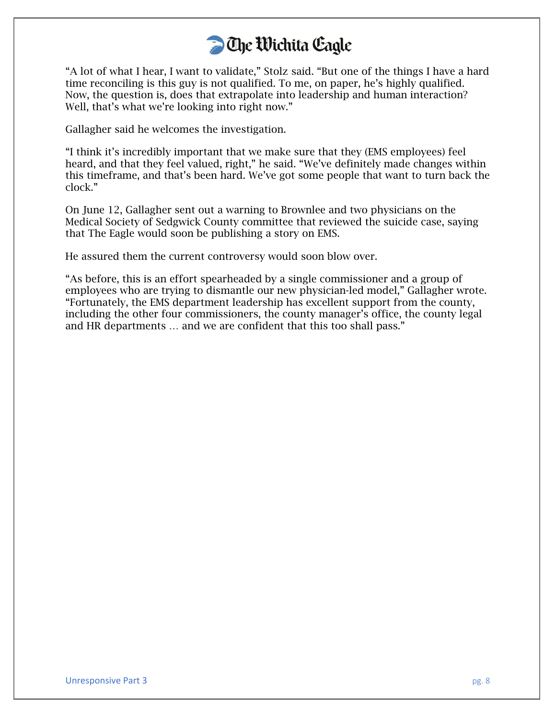"A lot of what I hear, I want to validate," Stolz said. "But one of the things I have a hard time reconciling is this guy is not qualified. To me, on paper, he's highly qualified. Now, the question is, does that extrapolate into leadership and human interaction? Well, that's what we're looking into right now."

Gallagher said he welcomes the investigation.

"I think it's incredibly important that we make sure that they (EMS employees) feel heard, and that they feel valued, right," he said. "We've definitely made changes within this timeframe, and that's been hard. We've got some people that want to turn back the clock."

On June 12, Gallagher sent out a warning to Brownlee and two physicians on the Medical Society of Sedgwick County committee that reviewed the suicide case, saying that The Eagle would soon be publishing a story on EMS.

He assured them the current controversy would soon blow over.

"As before, this is an effort spearheaded by a single commissioner and a group of employees who are trying to dismantle our new physician-led model," Gallagher wrote. "Fortunately, the EMS department leadership has excellent support from the county, including the other four commissioners, the county manager's office, the county legal and HR departments … and we are confident that this too shall pass."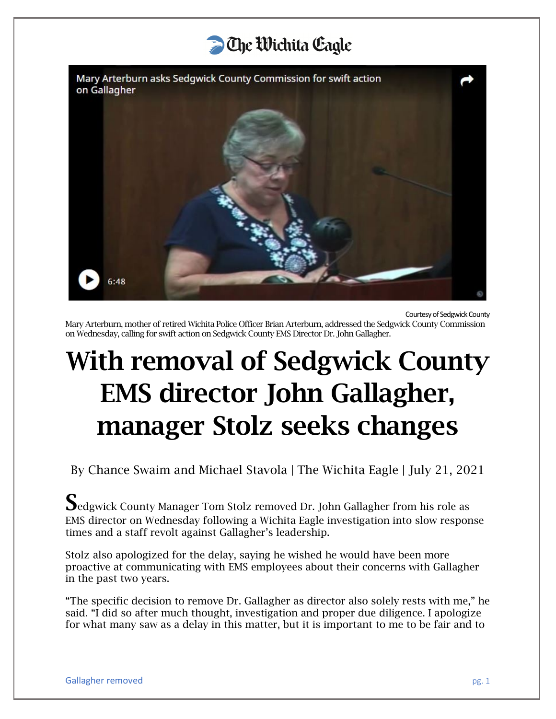# **D** The Wichita Cagle

Mary Arterburn asks Sedgwick County Commission for swift action on Gallagher



Courtesy of Sedgwick County

Mary Arterburn, mother of retired Wichita Police Officer Brian Arterburn, addressed the Sedgwick County Commission on Wednesday, calling for swift action on Sedgwick County EMS Director Dr. John Gallagher.

# With removal of Sedgwick County EMS director John Gallagher, manager Stolz seeks changes

By Chance Swaim and Michael Stavola | The Wichita Eagle | July 21, 2021

Sedgwick County Manager Tom Stolz removed Dr. John Gallagher from his role as EMS director on Wednesday following a Wichita Eagle investigation into slow response times and a staff revolt against Gallagher's leadership.

Stolz also apologized for the delay, saying he wished he would have been more proactive at communicating with EMS employees about their concerns with Gallagher in the past two years.

"The specific decision to remove Dr. Gallagher as director also solely rests with me," he said. "I did so after much thought, investigation and proper due diligence. I apologize for what many saw as a delay in this matter, but it is important to me to be fair and to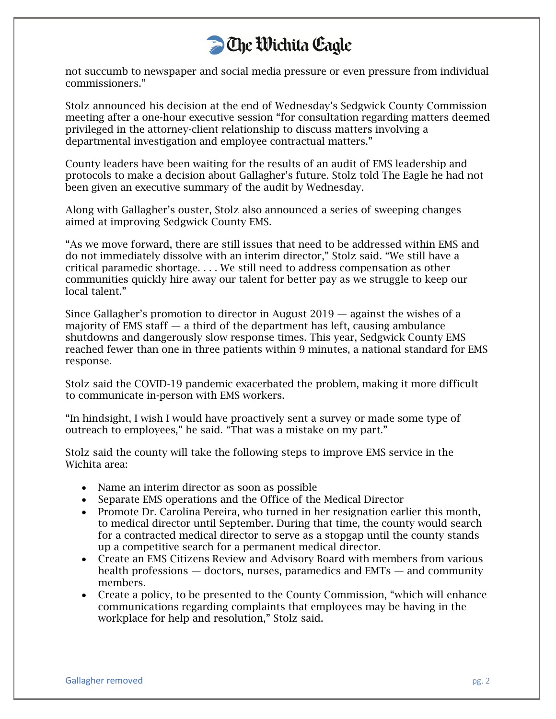

not succumb to newspaper and social media pressure or even pressure from individual commissioners."

Stolz announced his decision at the end of Wednesday's Sedgwick County Commission meeting after a one-hour executive session "for consultation regarding matters deemed privileged in the attorney-client relationship to discuss matters involving a departmental investigation and employee contractual matters."

County leaders have been waiting for the results of an audit of EMS leadership and protocols to make a decision about Gallagher's future. Stolz told The Eagle he had not been given an executive summary of the audit by Wednesday.

Along with Gallagher's ouster, Stolz also announced a series of sweeping changes aimed at improving Sedgwick County EMS.

"As we move forward, there are still issues that need to be addressed within EMS and do not immediately dissolve with an interim director," Stolz said. "We still have a critical paramedic shortage. . . . We still need to address compensation as other communities quickly hire away our talent for better pay as we struggle to keep our local talent."

Since Gallagher's promotion to director in August 2019 — against the wishes of a majority of EMS staff  $-$  a third of the department has left, causing ambulance shutdowns and dangerously slow response times. This year, Sedgwick County EMS reached fewer than one in three patients within 9 minutes, a national standard for EMS response.

Stolz said the COVID-19 pandemic exacerbated the problem, making it more difficult to communicate in-person with EMS workers.

"In hindsight, I wish I would have proactively sent a survey or made some type of outreach to employees," he said. "That was a mistake on my part."

Stolz said the county will take the following steps to improve EMS service in the Wichita area:

- Name an interim director as soon as possible
- Separate EMS operations and the Office of the Medical Director
- Promote Dr. Carolina Pereira, who turned in her resignation earlier this month, to medical director until September. During that time, the county would search for a contracted medical director to serve as a stopgap until the county stands up a competitive search for a permanent medical director.
- Create an EMS Citizens Review and Advisory Board with members from various health professions — doctors, nurses, paramedics and EMTs — and community members.
- Create a policy, to be presented to the County Commission, "which will enhance communications regarding complaints that employees may be having in the workplace for help and resolution," Stolz said.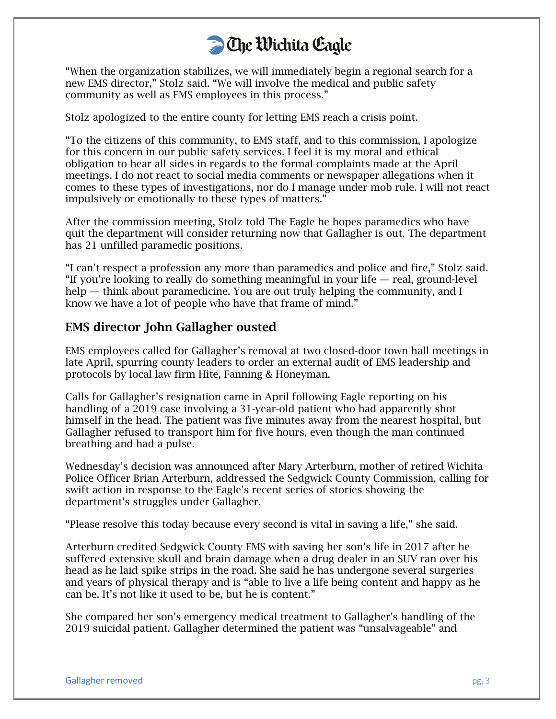"When the organization stabilizes, we will immediately begin a regional search for a new EMS director," Stolz said. "We will involve the medical and public safety community as well as EMS employees in this process."

Stolz apologized to the entire county for letting EMS reach a crisis point.

"To the citizens of this community, to EMS staff, and to this commission, I apologize for this concern in our public safety services. I feel it is my moral and ethical obligation to hear all sides in regards to the formal complaints made at the April meetings. I do not react to social media comments or newspaper allegations when it comes to these types of investigations, nor do I manage under mob rule. I will not react impulsively or emotionally to these types of matters."

After the commission meeting, Stolz told The Eagle he hopes paramedics who have quit the department will consider returning now that Gallagher is out. The department has 21 unfilled paramedic positions.

"I can't respect a profession any more than paramedics and police and fire," Stolz said. "If you're looking to really do something meaningful in your life — real, ground-level help — think about paramedicine. You are out truly helping the community, and I know we have a lot of people who have that frame of mind."

#### EMS director John Gallagher ousted

EMS employees called for Gallagher's removal at two closed-door town hall meetings in late April, spurring county leaders to order an external audit of EMS leadership and protocols by local law firm Hite, Fanning & Honeyman.

Calls for Gallagher's resignation came in April following Eagle reporting on his handling of a 2019 case involving a 31-year-old patient who had apparently shot himself in the head. The patient was five minutes away from the nearest hospital, but Gallagher refused to transport him for five hours, even though the man continued breathing and had a pulse.

Wednesday's decision was announced after Mary Arterburn, mother of retired Wichita Police Officer Brian Arterburn, addressed the Sedgwick County Commission, calling for swift action in response to the Eagle's recent series of stories showing the department's struggles under Gallagher.

"Please resolve this today because every second is vital in saving a life," she said.

Arterburn credited Sedgwick County EMS with saving her son's life in 2017 after he suffered extensive skull and brain damage when a drug dealer in an SUV ran over his head as he laid spike strips in the road. She said he has undergone several surgeries and years of physical therapy and is "able to live a life being content and happy as he can be. It's not like it used to be, but he is content."

She compared her son's emergency medical treatment to Gallagher's handling of the 2019 suicidal patient. Gallagher determined the patient was "unsalvageable" and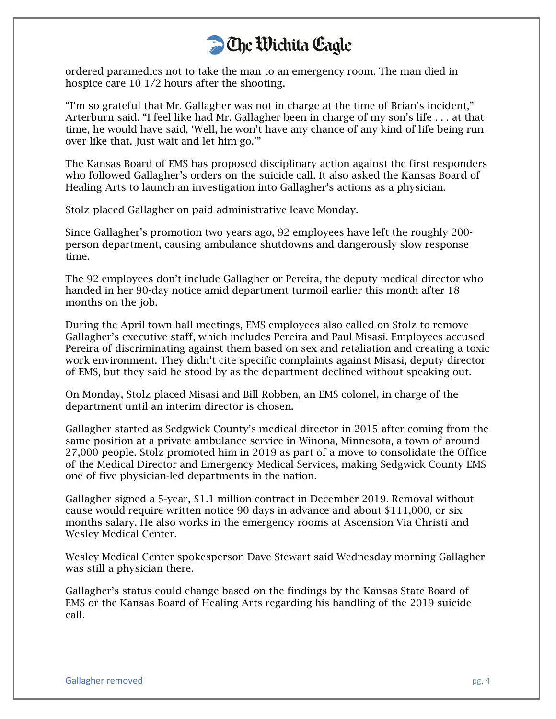ordered paramedics not to take the man to an emergency room. The man died in hospice care 10 1/2 hours after the shooting.

"I'm so grateful that Mr. Gallagher was not in charge at the time of Brian's incident," Arterburn said. "I feel like had Mr. Gallagher been in charge of my son's life . . . at that time, he would have said, 'Well, he won't have any chance of any kind of life being run over like that. Just wait and let him go.'"

The Kansas Board of EMS has proposed disciplinary action against the first responders who followed Gallagher's orders on the suicide call. It also asked the Kansas Board of Healing Arts to launch an investigation into Gallagher's actions as a physician.

Stolz placed Gallagher on paid administrative leave Monday.

Since Gallagher's promotion two years ago, 92 employees have left the roughly 200 person department, causing ambulance shutdowns and dangerously slow response time.

The 92 employees don't include Gallagher or Pereira, the deputy medical director who handed in her 90-day notice amid department turmoil earlier this month after 18 months on the job.

During the April town hall meetings, EMS employees also called on Stolz to remove Gallagher's executive staff, which includes Pereira and Paul Misasi. Employees accused Pereira of discriminating against them based on sex and retaliation and creating a toxic work environment. They didn't cite specific complaints against Misasi, deputy director of EMS, but they said he stood by as the department declined without speaking out.

On Monday, Stolz placed Misasi and Bill Robben, an EMS colonel, in charge of the department until an interim director is chosen.

Gallagher started as Sedgwick County's medical director in 2015 after coming from the same position at a private ambulance service in Winona, Minnesota, a town of around 27,000 people. Stolz promoted him in 2019 as part of a move to consolidate the Office of the Medical Director and Emergency Medical Services, making Sedgwick County EMS one of five physician-led departments in the nation.

Gallagher signed a 5-year, \$1.1 million contract in December 2019. Removal without cause would require written notice 90 days in advance and about \$111,000, or six months salary. He also works in the emergency rooms at Ascension Via Christi and Wesley Medical Center.

Wesley Medical Center spokesperson Dave Stewart said Wednesday morning Gallagher was still a physician there.

Gallagher's status could change based on the findings by the Kansas State Board of EMS or the Kansas Board of Healing Arts regarding his handling of the 2019 suicide call.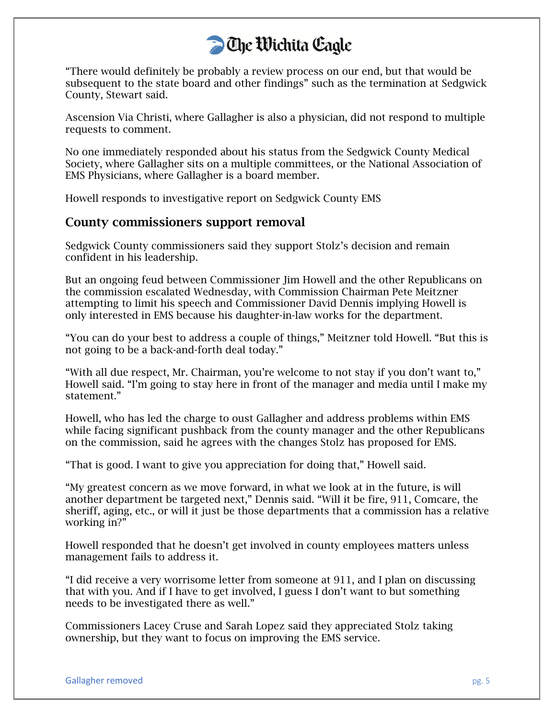"There would definitely be probably a review process on our end, but that would be subsequent to the state board and other findings" such as the termination at Sedgwick County, Stewart said.

Ascension Via Christi, where Gallagher is also a physician, did not respond to multiple requests to comment.

No one immediately responded about his status from the Sedgwick County Medical Society, where Gallagher sits on a multiple committees, or the National Association of EMS Physicians, where Gallagher is a board member.

Howell responds to investigative report on Sedgwick County EMS

#### County commissioners support removal

Sedgwick County commissioners said they support Stolz's decision and remain confident in his leadership.

But an ongoing feud between Commissioner Jim Howell and the other Republicans on the commission escalated Wednesday, with Commission Chairman Pete Meitzner attempting to limit his speech and Commissioner David Dennis implying Howell is only interested in EMS because his daughter-in-law works for the department.

"You can do your best to address a couple of things," Meitzner told Howell. "But this is not going to be a back-and-forth deal today."

"With all due respect, Mr. Chairman, you're welcome to not stay if you don't want to," Howell said. "I'm going to stay here in front of the manager and media until I make my statement."

Howell, who has led the charge to oust Gallagher and address problems within EMS while facing significant pushback from the county manager and the other Republicans on the commission, said he agrees with the changes Stolz has proposed for EMS.

"That is good. I want to give you appreciation for doing that," Howell said.

"My greatest concern as we move forward, in what we look at in the future, is will another department be targeted next," Dennis said. "Will it be fire, 911, Comcare, the sheriff, aging, etc., or will it just be those departments that a commission has a relative working in?"

Howell responded that he doesn't get involved in county employees matters unless management fails to address it.

"I did receive a very worrisome letter from someone at 911, and I plan on discussing that with you. And if I have to get involved, I guess I don't want to but something needs to be investigated there as well."

Commissioners Lacey Cruse and Sarah Lopez said they appreciated Stolz taking ownership, but they want to focus on improving the EMS service.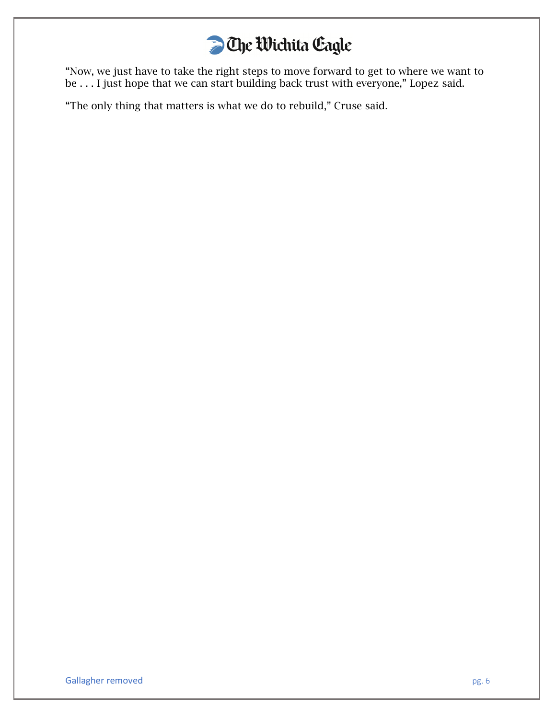# **D** Che Wichita Cagle

"Now, we just have to take the right steps to move forward to get to where we want to be . . . I just hope that we can start building back trust with everyone," Lopez said.

"The only thing that matters is what we do to rebuild," Cruse said.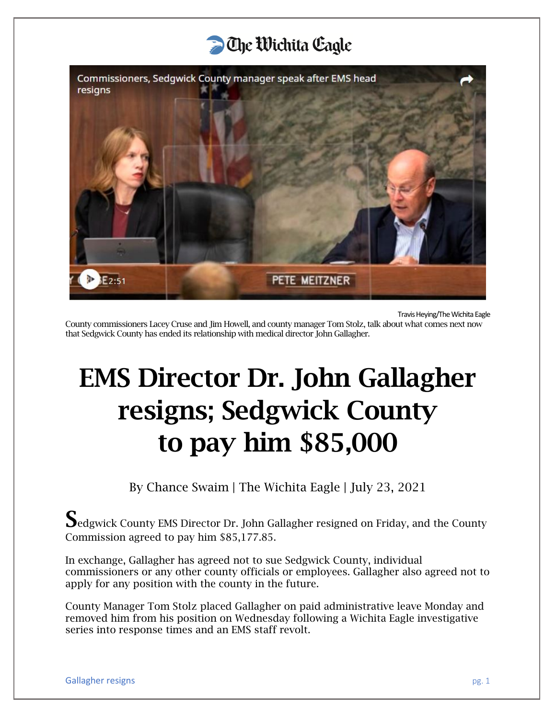

Travis Heying/The Wichita Eagle

County commissioners Lacey Cruse and Jim Howell, and county manager Tom Stolz, talk about what comes next now that Sedgwick County has ended its relationship with medical director John Gallagher.

# EMS Director Dr. John Gallagher resigns; Sedgwick County to pay him \$85,000

By Chance Swaim | The Wichita Eagle | July 23, 2021

Sedgwick County EMS Director Dr. John Gallagher resigned on Friday, and the County Commission agreed to pay him \$85,177.85.

In exchange, Gallagher has agreed not to sue Sedgwick County, individual commissioners or any other county officials or employees. Gallagher also agreed not to apply for any position with the county in the future.

County Manager Tom Stolz placed Gallagher on paid administrative leave Monday and removed him from his position on Wednesday following a Wichita Eagle investigative series into response times and an EMS staff revolt.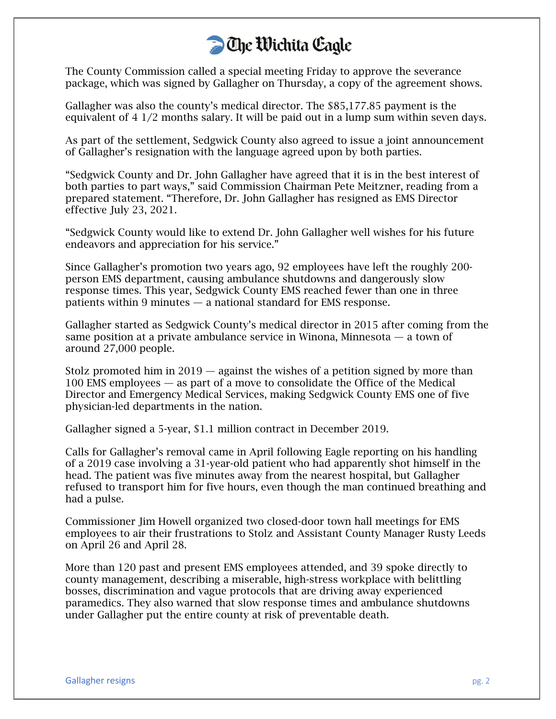The County Commission called a special meeting Friday to approve the severance package, which was signed by Gallagher on Thursday, a copy of the agreement shows.

Gallagher was also the county's medical director. The \$85,177.85 payment is the equivalent of 4 1/2 months salary. It will be paid out in a lump sum within seven days.

As part of the settlement, Sedgwick County also agreed to issue a joint announcement of Gallagher's resignation with the language agreed upon by both parties.

"Sedgwick County and Dr. John Gallagher have agreed that it is in the best interest of both parties to part ways," said Commission Chairman Pete Meitzner, reading from a prepared statement. "Therefore, Dr. John Gallagher has resigned as EMS Director effective July 23, 2021.

"Sedgwick County would like to extend Dr. John Gallagher well wishes for his future endeavors and appreciation for his service."

Since Gallagher's promotion two years ago, 92 employees have left the roughly 200 person EMS department, causing ambulance shutdowns and dangerously slow response times. This year, Sedgwick County EMS reached fewer than one in three patients within 9 minutes — a national standard for EMS response.

Gallagher started as Sedgwick County's medical director in 2015 after coming from the same position at a private ambulance service in Winona, Minnesota — a town of around 27,000 people.

Stolz promoted him in  $2019$  — against the wishes of a petition signed by more than 100 EMS employees — as part of a move to consolidate the Office of the Medical Director and Emergency Medical Services, making Sedgwick County EMS one of five physician-led departments in the nation.

Gallagher signed a 5-year, \$1.1 million contract in December 2019.

Calls for Gallagher's removal came in April following Eagle reporting on his handling of a 2019 case involving a 31-year-old patient who had apparently shot himself in the head. The patient was five minutes away from the nearest hospital, but Gallagher refused to transport him for five hours, even though the man continued breathing and had a pulse.

Commissioner Jim Howell organized two closed-door town hall meetings for EMS employees to air their frustrations to Stolz and Assistant County Manager Rusty Leeds on April 26 and April 28.

More than 120 past and present EMS employees attended, and 39 spoke directly to county management, describing a miserable, high-stress workplace with belittling bosses, discrimination and vague protocols that are driving away experienced paramedics. They also warned that slow response times and ambulance shutdowns under Gallagher put the entire county at risk of preventable death.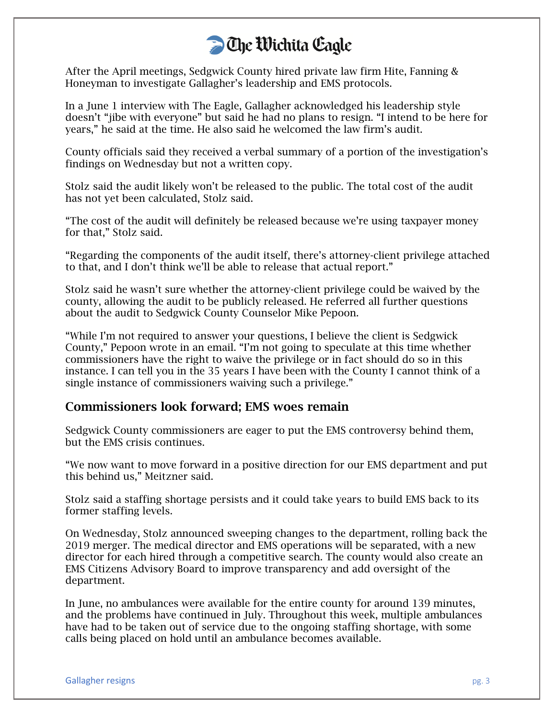After the April meetings, Sedgwick County hired private law firm Hite, Fanning & Honeyman to investigate Gallagher's leadership and EMS protocols.

In a June 1 interview with The Eagle, Gallagher acknowledged his leadership style doesn't "jibe with everyone" but said he had no plans to resign. "I intend to be here for years," he said at the time. He also said he welcomed the law firm's audit.

County officials said they received a verbal summary of a portion of the investigation's findings on Wednesday but not a written copy.

Stolz said the audit likely won't be released to the public. The total cost of the audit has not yet been calculated, Stolz said.

"The cost of the audit will definitely be released because we're using taxpayer money for that," Stolz said.

"Regarding the components of the audit itself, there's attorney-client privilege attached to that, and I don't think we'll be able to release that actual report."

Stolz said he wasn't sure whether the attorney-client privilege could be waived by the county, allowing the audit to be publicly released. He referred all further questions about the audit to Sedgwick County Counselor Mike Pepoon.

"While I'm not required to answer your questions, I believe the client is Sedgwick County," Pepoon wrote in an email. "I'm not going to speculate at this time whether commissioners have the right to waive the privilege or in fact should do so in this instance. I can tell you in the 35 years I have been with the County I cannot think of a single instance of commissioners waiving such a privilege."

#### Commissioners look forward; EMS woes remain

Sedgwick County commissioners are eager to put the EMS controversy behind them, but the EMS crisis continues.

"We now want to move forward in a positive direction for our EMS department and put this behind us," Meitzner said.

Stolz said a staffing shortage persists and it could take years to build EMS back to its former staffing levels.

On Wednesday, Stolz announced sweeping changes to the department, rolling back the 2019 merger. The medical director and EMS operations will be separated, with a new director for each hired through a competitive search. The county would also create an EMS Citizens Advisory Board to improve transparency and add oversight of the department.

In June, no ambulances were available for the entire county for around 139 minutes, and the problems have continued in July. Throughout this week, multiple ambulances have had to be taken out of service due to the ongoing staffing shortage, with some calls being placed on hold until an ambulance becomes available.